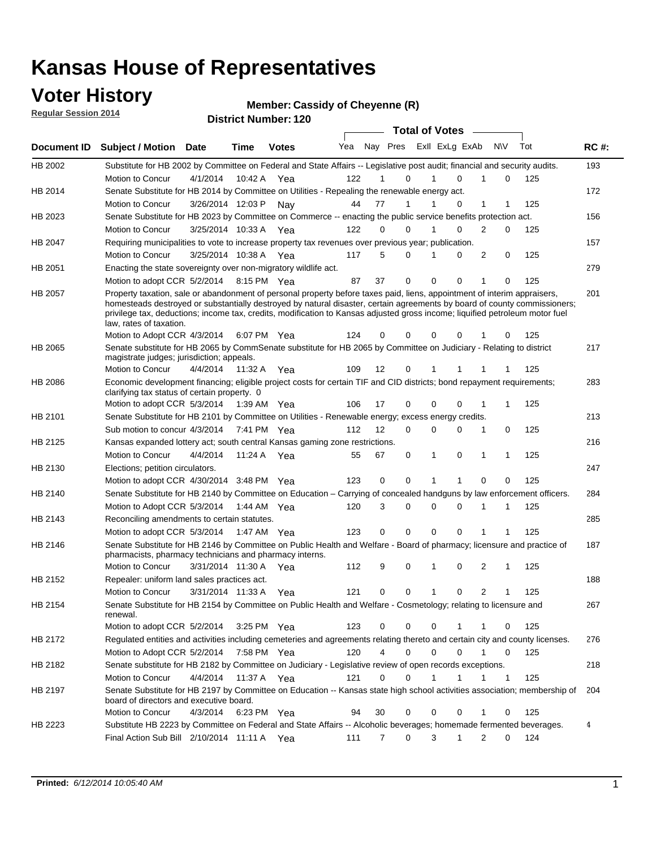### **Voter History**

**Regular Session 2014**

#### **Member: Cassidy of Cheyenne (R)**

|             |                                                                                                                                                                                                                                                                                      |                       |             | <b>DISTRICT MAILINGL. IZU</b> |     |    |                  | <b>Total of Votes</b> |                  |                             |     |     |             |
|-------------|--------------------------------------------------------------------------------------------------------------------------------------------------------------------------------------------------------------------------------------------------------------------------------------|-----------------------|-------------|-------------------------------|-----|----|------------------|-----------------------|------------------|-----------------------------|-----|-----|-------------|
| Document ID | <b>Subject / Motion</b>                                                                                                                                                                                                                                                              | <b>Date</b>           | Time        | <b>Votes</b>                  | Yea |    | Nay Pres         |                       | Exll ExLg ExAb   | <b>NV</b>                   | Tot |     | <b>RC#:</b> |
| HB 2002     | Substitute for HB 2002 by Committee on Federal and State Affairs -- Legislative post audit; financial and security audits.                                                                                                                                                           |                       |             |                               |     |    |                  |                       |                  |                             |     |     | 193         |
|             | Motion to Concur                                                                                                                                                                                                                                                                     | 4/1/2014              |             | 10:42 A Yea                   | 122 |    | $\Omega$         |                       | $\Omega$         | 0                           |     | 125 |             |
| HB 2014     | Senate Substitute for HB 2014 by Committee on Utilities - Repealing the renewable energy act.                                                                                                                                                                                        |                       |             |                               |     |    |                  |                       |                  |                             |     |     | 172         |
|             | Motion to Concur                                                                                                                                                                                                                                                                     | 3/26/2014 12:03 P     |             | Nav                           | 44  | 77 |                  |                       | 0                | 1                           |     | 125 |             |
| HB 2023     | Senate Substitute for HB 2023 by Committee on Commerce -- enacting the public service benefits protection act.                                                                                                                                                                       |                       |             |                               |     |    |                  |                       |                  |                             |     |     | 156         |
|             | Motion to Concur                                                                                                                                                                                                                                                                     | 3/25/2014 10:33 A Yea |             |                               | 122 |    | 0<br>0           |                       | 0                | 2<br>0                      |     | 125 |             |
| HB 2047     | Requiring municipalities to vote to increase property tax revenues over previous year; publication.                                                                                                                                                                                  |                       |             |                               |     |    |                  |                       |                  |                             |     |     | 157         |
|             | Motion to Concur                                                                                                                                                                                                                                                                     | 3/25/2014 10:38 A     |             | Yea                           | 117 |    | 5<br>0           |                       | 0                | 2<br>0                      |     | 125 |             |
| HB 2051     | Enacting the state sovereignty over non-migratory wildlife act.                                                                                                                                                                                                                      |                       |             |                               |     |    |                  |                       |                  |                             |     |     | 279         |
|             | Motion to adopt CCR 5/2/2014                                                                                                                                                                                                                                                         |                       | 8:15 PM Yea |                               | 87  | 37 | 0                | $\Omega$              | $\Omega$         | 1<br>0                      |     | 125 |             |
| HB 2057     | Property taxation, sale or abandonment of personal property before taxes paid, liens, appointment of interim appraisers,                                                                                                                                                             |                       |             |                               |     |    |                  |                       |                  |                             |     |     | 201         |
|             | homesteads destroyed or substantially destroyed by natural disaster, certain agreements by board of county commissioners;<br>privilege tax, deductions; income tax, credits, modification to Kansas adjusted gross income; liquified petroleum motor fuel<br>law, rates of taxation. |                       |             |                               |     |    |                  |                       |                  |                             |     |     |             |
|             | Motion to Adopt CCR 4/3/2014                                                                                                                                                                                                                                                         |                       |             | 6:07 PM Yea                   | 124 |    | 0<br>0           | $\Omega$              | 0                | 0                           |     | 125 |             |
| HB 2065     | Senate substitute for HB 2065 by CommSenate substitute for HB 2065 by Committee on Judiciary - Relating to district<br>magistrate judges; jurisdiction; appeals.                                                                                                                     |                       |             |                               |     |    |                  |                       |                  |                             |     |     | 217         |
|             | Motion to Concur                                                                                                                                                                                                                                                                     | 4/4/2014 11:32 A Yea  |             |                               | 109 | 12 | 0                | 1                     | 1                |                             |     | 125 |             |
| HB 2086     | Economic development financing; eligible project costs for certain TIF and CID districts; bond repayment requirements;<br>clarifying tax status of certain property. 0                                                                                                               |                       |             |                               |     |    |                  |                       |                  |                             |     |     | 283         |
|             | Motion to adopt CCR 5/3/2014                                                                                                                                                                                                                                                         |                       | 1:39 AM Yea |                               | 106 | 17 | 0                | $\Omega$              | $\Omega$         | 1                           |     | 125 |             |
| HB 2101     | Senate Substitute for HB 2101 by Committee on Utilities - Renewable energy; excess energy credits.                                                                                                                                                                                   |                       |             |                               |     |    |                  |                       |                  |                             |     |     | 213         |
|             | Sub motion to concur 4/3/2014                                                                                                                                                                                                                                                        |                       |             | 7:41 PM Yea                   | 112 | 12 | 0                | $\mathbf 0$           | $\Omega$         | 1<br>0                      |     | 125 |             |
| HB 2125     | Kansas expanded lottery act; south central Kansas gaming zone restrictions.                                                                                                                                                                                                          |                       |             |                               |     |    |                  |                       |                  |                             |     |     | 216         |
|             | Motion to Concur                                                                                                                                                                                                                                                                     | 4/4/2014              | 11:24 A     | Yea                           | 55  | 67 | 0                | 1                     | $\mathbf 0$      | 1<br>1                      |     | 125 |             |
| HB 2130     | Elections; petition circulators.                                                                                                                                                                                                                                                     |                       |             |                               |     |    |                  |                       |                  |                             |     |     | 247         |
|             | Motion to adopt CCR 4/30/2014 3:48 PM Yea                                                                                                                                                                                                                                            |                       |             |                               | 123 |    | 0<br>0           | 1                     |                  | 0<br>0                      |     | 125 |             |
| HB 2140     | Senate Substitute for HB 2140 by Committee on Education – Carrying of concealed handguns by law enforcement officers.                                                                                                                                                                |                       |             |                               |     |    |                  |                       |                  |                             |     |     | 284         |
|             | Motion to Adopt CCR 5/3/2014                                                                                                                                                                                                                                                         |                       |             | 1:44 AM Yea                   | 120 |    | 3<br>0           | $\mathbf 0$           | $\mathbf 0$<br>1 | 1                           |     | 125 |             |
| HB 2143     | Reconciling amendments to certain statutes.                                                                                                                                                                                                                                          |                       |             |                               |     |    |                  |                       |                  |                             |     |     | 285         |
|             | Motion to adopt CCR 5/3/2014                                                                                                                                                                                                                                                         |                       |             | 1:47 AM Yea                   | 123 |    | 0<br>0           | $\mathbf 0$           | $\mathbf 0$      | 1                           |     | 125 |             |
| HB 2146     | Senate Substitute for HB 2146 by Committee on Public Health and Welfare - Board of pharmacy; licensure and practice of<br>pharmacists, pharmacy technicians and pharmacy interns.                                                                                                    |                       |             |                               |     |    |                  |                       |                  |                             |     |     | 187         |
|             | Motion to Concur                                                                                                                                                                                                                                                                     | 3/31/2014 11:30 A     |             | Yea                           | 112 |    | 9<br>0           | 1                     | $\mathbf 0$      | 2<br>1                      |     | 125 |             |
| HB 2152     | Repealer: uniform land sales practices act.                                                                                                                                                                                                                                          |                       |             |                               |     |    |                  |                       |                  |                             |     |     | 188         |
|             | <b>Motion to Concur</b>                                                                                                                                                                                                                                                              | 3/31/2014 11:33 A     |             | Yea                           | 121 |    | 0<br>0           | 1                     | 0                | 2<br>1                      |     | 125 |             |
| HB 2154     | Senate Substitute for HB 2154 by Committee on Public Health and Welfare - Cosmetology; relating to licensure and<br>renewal.                                                                                                                                                         |                       |             |                               |     |    |                  |                       |                  |                             |     |     | 267         |
|             | Motion to adopt CCR 5/2/2014 3:25 PM Yea                                                                                                                                                                                                                                             |                       |             |                               | 123 |    | 0<br>0           | $\mathbf 0$           |                  | 0                           |     | 125 |             |
| HB 2172     | Regulated entities and activities including cemeteries and agreements relating thereto and certain city and county licenses.                                                                                                                                                         |                       |             |                               |     |    |                  |                       |                  |                             |     |     | 276         |
|             | Motion to Adopt CCR 5/2/2014                                                                                                                                                                                                                                                         |                       | 7:58 PM Yea |                               | 120 |    | 4<br>$\mathbf 0$ | $\mathbf 0$           | $\Omega$         | $\mathbf{1}$<br>$\mathbf 0$ |     | 125 |             |
| HB 2182     | Senate substitute for HB 2182 by Committee on Judiciary - Legislative review of open records exceptions.                                                                                                                                                                             |                       |             |                               |     |    |                  |                       |                  |                             |     |     | 218         |
|             | Motion to Concur                                                                                                                                                                                                                                                                     | 4/4/2014 11:37 A Yea  |             |                               | 121 |    | $\mathbf 0$<br>0 | 1                     | 1                | 1<br>1                      |     | 125 |             |
| HB 2197     | Senate Substitute for HB 2197 by Committee on Education -- Kansas state high school activities association; membership of<br>board of directors and executive board.                                                                                                                 |                       |             |                               |     |    |                  |                       |                  |                             |     |     | 204         |
|             | Motion to Concur                                                                                                                                                                                                                                                                     | 4/3/2014              |             | 6:23 PM Yea                   | 94  | 30 | 0                | 0                     | 0                | 0<br>1                      |     | 125 |             |
| HB 2223     | Substitute HB 2223 by Committee on Federal and State Affairs -- Alcoholic beverages; homemade fermented beverages.                                                                                                                                                                   |                       |             |                               |     |    |                  |                       |                  |                             |     |     | 4           |
|             | Final Action Sub Bill 2/10/2014 11:11 A Yea                                                                                                                                                                                                                                          |                       |             |                               | 111 |    | 0<br>7           | 3                     | 1                | 2<br>0                      |     | 124 |             |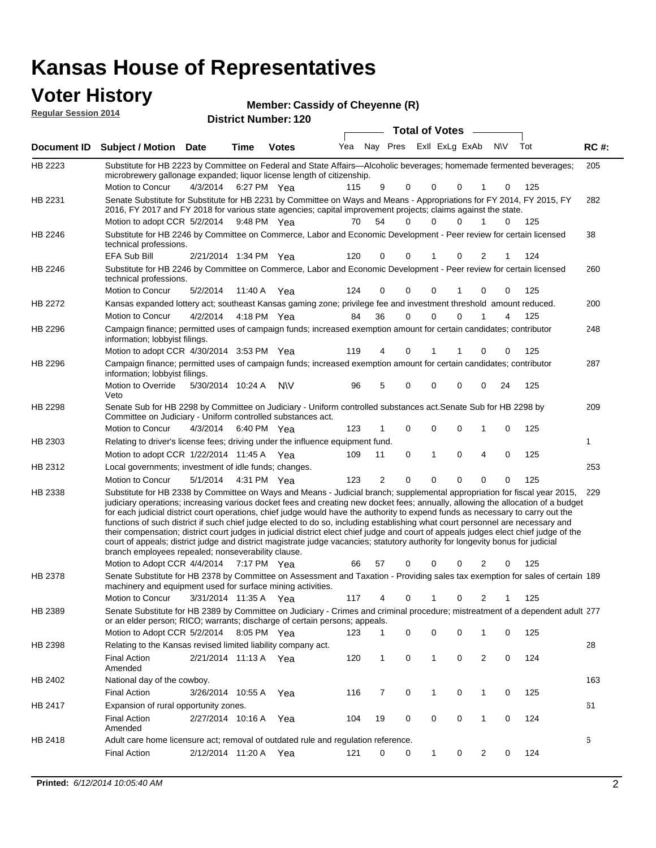#### **Voter History Regular Session 2014**

|  | Member: Cassidy of Cheyenne (R) |  |
|--|---------------------------------|--|
|  |                                 |  |

| nuyurur Uuddiun Luin |                                                                                                                                                                                                                                                                                                                                                                                                                                                                                                                                                                                                                                                                                                                                                                                                                                                                                                                 |                       |             | <b>District Number: 120</b> |     |    |             |                         |                      |             |     |             |
|----------------------|-----------------------------------------------------------------------------------------------------------------------------------------------------------------------------------------------------------------------------------------------------------------------------------------------------------------------------------------------------------------------------------------------------------------------------------------------------------------------------------------------------------------------------------------------------------------------------------------------------------------------------------------------------------------------------------------------------------------------------------------------------------------------------------------------------------------------------------------------------------------------------------------------------------------|-----------------------|-------------|-----------------------------|-----|----|-------------|-------------------------|----------------------|-------------|-----|-------------|
|                      |                                                                                                                                                                                                                                                                                                                                                                                                                                                                                                                                                                                                                                                                                                                                                                                                                                                                                                                 |                       |             |                             |     |    |             | Total of Votes -        |                      |             |     |             |
| <b>Document ID</b>   | <b>Subject / Motion Date</b>                                                                                                                                                                                                                                                                                                                                                                                                                                                                                                                                                                                                                                                                                                                                                                                                                                                                                    |                       | <b>Time</b> | <b>Votes</b>                | Yea |    |             | Nay Pres Exll ExLg ExAb |                      | N\V         | Tot | <b>RC#:</b> |
| HB 2223              | Substitute for HB 2223 by Committee on Federal and State Affairs—Alcoholic beverages; homemade fermented beverages;<br>microbrewery gallonage expanded; liquor license length of citizenship.                                                                                                                                                                                                                                                                                                                                                                                                                                                                                                                                                                                                                                                                                                                   |                       |             |                             |     |    |             |                         |                      |             |     | 205         |
|                      | Motion to Concur                                                                                                                                                                                                                                                                                                                                                                                                                                                                                                                                                                                                                                                                                                                                                                                                                                                                                                | 4/3/2014              |             | 6:27 PM Yea                 | 115 | 9  | 0           | 0                       | 0                    | 0           | 125 |             |
| HB 2231              | Senate Substitute for Substitute for HB 2231 by Committee on Ways and Means - Appropriations for FY 2014, FY 2015, FY<br>2016, FY 2017 and FY 2018 for various state agencies; capital improvement projects; claims against the state.<br>Motion to adopt CCR 5/2/2014                                                                                                                                                                                                                                                                                                                                                                                                                                                                                                                                                                                                                                          |                       |             | 9:48 PM Yea                 | 70  | 54 | 0           | 0                       | 0<br>1               | 0           | 125 | 282         |
|                      |                                                                                                                                                                                                                                                                                                                                                                                                                                                                                                                                                                                                                                                                                                                                                                                                                                                                                                                 |                       |             |                             |     |    |             |                         |                      |             |     |             |
| HB 2246              | Substitute for HB 2246 by Committee on Commerce, Labor and Economic Development - Peer review for certain licensed<br>technical professions.<br><b>EFA Sub Bill</b>                                                                                                                                                                                                                                                                                                                                                                                                                                                                                                                                                                                                                                                                                                                                             | 2/21/2014 1:34 PM Yea |             |                             | 120 | 0  | $\Omega$    | 1                       | 0<br>2               | 1           | 124 | 38          |
|                      |                                                                                                                                                                                                                                                                                                                                                                                                                                                                                                                                                                                                                                                                                                                                                                                                                                                                                                                 |                       |             |                             |     |    |             |                         |                      |             |     |             |
| HB 2246              | Substitute for HB 2246 by Committee on Commerce, Labor and Economic Development - Peer review for certain licensed<br>technical professions.                                                                                                                                                                                                                                                                                                                                                                                                                                                                                                                                                                                                                                                                                                                                                                    |                       |             |                             |     |    |             |                         |                      |             |     | 260         |
|                      | Motion to Concur                                                                                                                                                                                                                                                                                                                                                                                                                                                                                                                                                                                                                                                                                                                                                                                                                                                                                                | 5/2/2014              |             | 11:40 A Yea                 | 124 | 0  | 0           | 0                       | 0                    | 0           | 125 |             |
| HB 2272              | Kansas expanded lottery act; southeast Kansas gaming zone; privilege fee and investment threshold amount reduced.                                                                                                                                                                                                                                                                                                                                                                                                                                                                                                                                                                                                                                                                                                                                                                                               |                       |             |                             |     |    |             |                         |                      |             |     | 200         |
|                      | <b>Motion to Concur</b>                                                                                                                                                                                                                                                                                                                                                                                                                                                                                                                                                                                                                                                                                                                                                                                                                                                                                         | 4/2/2014              |             | 4:18 PM Yea                 | 84  | 36 | 0           | 0                       | $\Omega$             | 4           | 125 |             |
| HB 2296              | Campaign finance; permitted uses of campaign funds; increased exemption amount for certain candidates; contributor<br>information; lobbyist filings.                                                                                                                                                                                                                                                                                                                                                                                                                                                                                                                                                                                                                                                                                                                                                            |                       |             |                             |     |    |             |                         |                      |             |     | 248         |
|                      | Motion to adopt CCR 4/30/2014 3:53 PM Yea                                                                                                                                                                                                                                                                                                                                                                                                                                                                                                                                                                                                                                                                                                                                                                                                                                                                       |                       |             |                             | 119 | 4  | 0           | 1                       | 1<br>0               | 0           | 125 |             |
| HB 2296              | Campaign finance; permitted uses of campaign funds; increased exemption amount for certain candidates; contributor<br>information; lobbyist filings.                                                                                                                                                                                                                                                                                                                                                                                                                                                                                                                                                                                                                                                                                                                                                            |                       |             |                             |     |    |             |                         |                      |             |     | 287         |
|                      | Motion to Override<br>Veto                                                                                                                                                                                                                                                                                                                                                                                                                                                                                                                                                                                                                                                                                                                                                                                                                                                                                      | 5/30/2014 10:24 A     |             | <b>NV</b>                   | 96  | 5  | 0           | 0                       | $\Omega$<br>0        | 24          | 125 |             |
| HB 2298              | Senate Sub for HB 2298 by Committee on Judiciary - Uniform controlled substances act. Senate Sub for HB 2298 by<br>Committee on Judiciary - Uniform controlled substances act.                                                                                                                                                                                                                                                                                                                                                                                                                                                                                                                                                                                                                                                                                                                                  |                       |             |                             |     |    |             |                         |                      |             |     | 209         |
|                      | Motion to Concur                                                                                                                                                                                                                                                                                                                                                                                                                                                                                                                                                                                                                                                                                                                                                                                                                                                                                                | 4/3/2014              |             | 6:40 PM Yea                 | 123 |    | $\mathbf 0$ | $\mathbf 0$             | $\Omega$             | $\mathbf 0$ | 125 |             |
| HB 2303              | Relating to driver's license fees; driving under the influence equipment fund.                                                                                                                                                                                                                                                                                                                                                                                                                                                                                                                                                                                                                                                                                                                                                                                                                                  |                       |             |                             |     |    |             |                         |                      |             |     | 1           |
|                      | Motion to adopt CCR 1/22/2014 11:45 A Yea                                                                                                                                                                                                                                                                                                                                                                                                                                                                                                                                                                                                                                                                                                                                                                                                                                                                       |                       |             |                             | 109 | 11 | 0           | $\mathbf{1}$            | 0<br>4               | $\mathbf 0$ | 125 |             |
| HB 2312              | Local governments; investment of idle funds; changes.                                                                                                                                                                                                                                                                                                                                                                                                                                                                                                                                                                                                                                                                                                                                                                                                                                                           |                       |             |                             |     |    |             |                         |                      |             |     | 253         |
|                      | Motion to Concur                                                                                                                                                                                                                                                                                                                                                                                                                                                                                                                                                                                                                                                                                                                                                                                                                                                                                                | 5/1/2014              |             | 4:31 PM Yea                 | 123 | 2  | $\Omega$    | $\Omega$                | $\Omega$<br>$\Omega$ | $\Omega$    | 125 |             |
| HB 2338              | Substitute for HB 2338 by Committee on Ways and Means - Judicial branch; supplemental appropriation for fiscal year 2015,<br>judiciary operations; increasing various docket fees and creating new docket fees; annually, allowing the allocation of a budget<br>for each judicial district court operations, chief judge would have the authority to expend funds as necessary to carry out the<br>functions of such district if such chief judge elected to do so, including establishing what court personnel are necessary and<br>their compensation; district court judges in judicial district elect chief judge and court of appeals judges elect chief judge of the<br>court of appeals; district judge and district magistrate judge vacancies; statutory authority for longevity bonus for judicial<br>branch employees repealed; nonseverability clause.<br>Motion to Adopt CCR 4/4/2014 7:17 PM Yea |                       |             |                             | 66  | 57 | 0           | 0                       | 0<br>2               | 0           | 125 | 229         |
| HB 2378              | Senate Substitute for HB 2378 by Committee on Assessment and Taxation - Providing sales tax exemption for sales of certain 189                                                                                                                                                                                                                                                                                                                                                                                                                                                                                                                                                                                                                                                                                                                                                                                  |                       |             |                             |     |    |             |                         |                      |             |     |             |
|                      | machinery and equipment used for surface mining activities.                                                                                                                                                                                                                                                                                                                                                                                                                                                                                                                                                                                                                                                                                                                                                                                                                                                     |                       |             |                             |     |    |             |                         |                      |             |     |             |
|                      | Motion to Concur                                                                                                                                                                                                                                                                                                                                                                                                                                                                                                                                                                                                                                                                                                                                                                                                                                                                                                | 3/31/2014 11:35 A     |             | Yea                         | 117 | 4  | 0           | $\mathbf{1}$            | 0<br>2               |             | 125 |             |
| HB 2389              | Senate Substitute for HB 2389 by Committee on Judiciary - Crimes and criminal procedure; mistreatment of a dependent adult 277<br>or an elder person; RICO; warrants; discharge of certain persons; appeals.<br>Motion to Adopt CCR 5/2/2014 8:05 PM Yea                                                                                                                                                                                                                                                                                                                                                                                                                                                                                                                                                                                                                                                        |                       |             |                             | 123 |    | 0           | 0                       | 0<br>1               | 0           | 125 |             |
| HB 2398              | Relating to the Kansas revised limited liability company act.                                                                                                                                                                                                                                                                                                                                                                                                                                                                                                                                                                                                                                                                                                                                                                                                                                                   |                       |             |                             |     |    |             |                         |                      |             |     | 28          |
|                      | <b>Final Action</b><br>Amended                                                                                                                                                                                                                                                                                                                                                                                                                                                                                                                                                                                                                                                                                                                                                                                                                                                                                  | 2/21/2014 11:13 A Yea |             |                             | 120 | 1  | 0           | 1                       | 0<br>2               | 0           | 124 |             |
| HB 2402              | National day of the cowboy.                                                                                                                                                                                                                                                                                                                                                                                                                                                                                                                                                                                                                                                                                                                                                                                                                                                                                     |                       |             |                             |     |    |             |                         |                      |             |     | 163         |
|                      | <b>Final Action</b>                                                                                                                                                                                                                                                                                                                                                                                                                                                                                                                                                                                                                                                                                                                                                                                                                                                                                             | 3/26/2014 10:55 A     |             | Yea                         | 116 | 7  | 0           | 1                       | 0<br>$\mathbf{1}$    | 0           | 125 |             |
| HB 2417              | Expansion of rural opportunity zones.                                                                                                                                                                                                                                                                                                                                                                                                                                                                                                                                                                                                                                                                                                                                                                                                                                                                           |                       |             |                             |     |    |             |                         |                      |             |     | 61          |
|                      | <b>Final Action</b><br>Amended                                                                                                                                                                                                                                                                                                                                                                                                                                                                                                                                                                                                                                                                                                                                                                                                                                                                                  | 2/27/2014 10:16 A     |             | Yea                         | 104 | 19 | 0           | 0                       | 0<br>$\mathbf{1}$    | 0           | 124 |             |
| HB 2418              | Adult care home licensure act; removal of outdated rule and regulation reference.                                                                                                                                                                                                                                                                                                                                                                                                                                                                                                                                                                                                                                                                                                                                                                                                                               |                       |             |                             |     |    |             |                         |                      |             |     | 6           |
|                      | <b>Final Action</b>                                                                                                                                                                                                                                                                                                                                                                                                                                                                                                                                                                                                                                                                                                                                                                                                                                                                                             | 2/12/2014 11:20 A     |             | Yea                         | 121 | 0  | 0           | 1                       | 2<br>0               | 0           | 124 |             |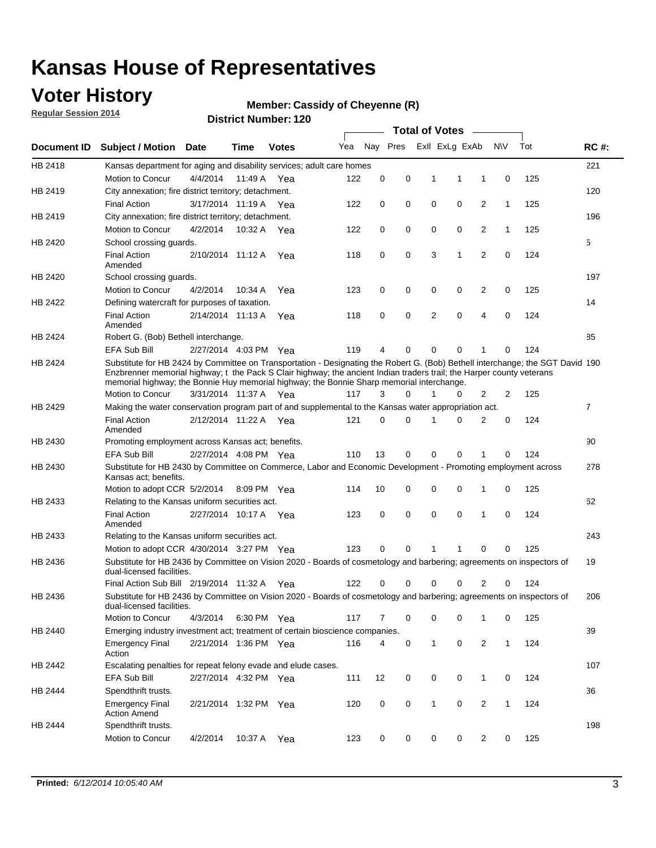### **Voter History**

**Regular Session 2014**

#### **Member: Cassidy of Cheyenne (R)**

|                    |                                                                                                                                                                                                                                                                                                                                                      |                       |             | DISTILL NUTTING TEAM |     |          |          |   | <b>Total of Votes</b> | $\sim$         |              |     |                |
|--------------------|------------------------------------------------------------------------------------------------------------------------------------------------------------------------------------------------------------------------------------------------------------------------------------------------------------------------------------------------------|-----------------------|-------------|----------------------|-----|----------|----------|---|-----------------------|----------------|--------------|-----|----------------|
| <b>Document ID</b> | <b>Subject / Motion</b>                                                                                                                                                                                                                                                                                                                              | Date                  | Time        | <b>Votes</b>         | Yea |          | Nay Pres |   | Exll ExLg ExAb        |                | <b>NV</b>    | Tot | <b>RC#:</b>    |
| HB 2418            | Kansas department for aging and disability services; adult care homes                                                                                                                                                                                                                                                                                |                       |             |                      |     |          |          |   |                       |                |              |     | 221            |
|                    | Motion to Concur                                                                                                                                                                                                                                                                                                                                     | 4/4/2014              | 11:49 A     | Yea                  | 122 | 0        | 0        | 1 | 1                     | 1              | 0            | 125 |                |
| HB 2419            | City annexation; fire district territory; detachment.                                                                                                                                                                                                                                                                                                |                       |             |                      |     |          |          |   |                       |                |              |     | 120            |
|                    | <b>Final Action</b>                                                                                                                                                                                                                                                                                                                                  | 3/17/2014 11:19 A Yea |             |                      | 122 | 0        | 0        | 0 | 0                     | 2              | $\mathbf{1}$ | 125 |                |
| HB 2419            | City annexation; fire district territory; detachment.                                                                                                                                                                                                                                                                                                |                       |             |                      |     |          |          |   |                       |                |              |     | 196            |
|                    | Motion to Concur                                                                                                                                                                                                                                                                                                                                     | 4/2/2014              | 10:32 A Yea |                      | 122 | 0        | 0        | 0 | 0                     | 2              | $\mathbf{1}$ | 125 |                |
| HB 2420            | School crossing guards.                                                                                                                                                                                                                                                                                                                              |                       |             |                      |     |          |          |   |                       |                |              |     | 5              |
|                    | <b>Final Action</b><br>Amended                                                                                                                                                                                                                                                                                                                       | 2/10/2014 11:12 A     |             | Yea                  | 118 | 0        | 0        | 3 | 1                     | $\overline{2}$ | 0            | 124 |                |
| HB 2420            | School crossing guards.                                                                                                                                                                                                                                                                                                                              |                       |             |                      |     |          |          |   |                       |                |              |     | 197            |
|                    | Motion to Concur                                                                                                                                                                                                                                                                                                                                     | 4/2/2014              | 10:34 A     | Yea                  | 123 | 0        | 0        | 0 | 0                     | 2              | 0            | 125 |                |
| HB 2422            | Defining watercraft for purposes of taxation.                                                                                                                                                                                                                                                                                                        |                       |             |                      |     |          |          |   |                       |                |              |     | 14             |
|                    | <b>Final Action</b><br>Amended                                                                                                                                                                                                                                                                                                                       | 2/14/2014 11:13 A     |             | Yea                  | 118 | 0        | 0        | 2 | $\mathbf 0$           | 4              | 0            | 124 |                |
| HB 2424            | Robert G. (Bob) Bethell interchange.                                                                                                                                                                                                                                                                                                                 |                       |             |                      |     |          |          |   |                       |                |              |     | 85             |
|                    | <b>EFA Sub Bill</b>                                                                                                                                                                                                                                                                                                                                  | 2/27/2014 4:03 PM Yea |             |                      | 119 | 4        | 0        | 0 | $\mathbf 0$           | 1              | 0            | 124 |                |
| HB 2424            | Substitute for HB 2424 by Committee on Transportation - Designating the Robert G. (Bob) Bethell interchange; the SGT David 190<br>Enzbrenner memorial highway; t the Pack S Clair highway; the ancient Indian traders trail; the Harper county veterans<br>memorial highway; the Bonnie Huy memorial highway; the Bonnie Sharp memorial interchange. |                       |             |                      |     |          |          |   |                       |                |              |     |                |
|                    | Motion to Concur                                                                                                                                                                                                                                                                                                                                     | 3/31/2014 11:37 A Yea |             |                      | 117 | 3        | $\Omega$ | 1 | 0                     | 2              | 2            | 125 |                |
| HB 2429            | Making the water conservation program part of and supplemental to the Kansas water appropriation act.                                                                                                                                                                                                                                                |                       |             |                      |     |          |          |   |                       |                |              |     | $\overline{7}$ |
|                    | <b>Final Action</b><br>Amended                                                                                                                                                                                                                                                                                                                       | 2/12/2014 11:22 A Yea |             |                      | 121 | $\Omega$ | 0        | 1 | $\Omega$              | 2              | 0            | 124 |                |
| HB 2430            | Promoting employment across Kansas act; benefits.                                                                                                                                                                                                                                                                                                    |                       |             |                      |     |          |          |   |                       |                |              |     | 90             |
|                    | <b>EFA Sub Bill</b>                                                                                                                                                                                                                                                                                                                                  | 2/27/2014 4:08 PM Yea |             |                      | 110 | 13       | 0        | 0 | 0                     | 1              | 0            | 124 |                |
| HB 2430            | Substitute for HB 2430 by Committee on Commerce, Labor and Economic Development - Promoting employment across<br>Kansas act; benefits.                                                                                                                                                                                                               |                       |             |                      |     |          |          |   |                       |                |              |     | 278            |
|                    | Motion to adopt CCR 5/2/2014                                                                                                                                                                                                                                                                                                                         |                       | 8:09 PM Yea |                      | 114 | 10       | 0        | 0 | 0                     | 1              | 0            | 125 |                |
| HB 2433            | Relating to the Kansas uniform securities act.                                                                                                                                                                                                                                                                                                       |                       |             |                      |     |          |          |   |                       |                |              |     | 62             |
|                    | <b>Final Action</b><br>Amended                                                                                                                                                                                                                                                                                                                       | 2/27/2014 10:17 A Yea |             |                      | 123 | 0        | 0        | 0 | $\mathbf 0$           | 1              | 0            | 124 |                |
| HB 2433            | Relating to the Kansas uniform securities act.                                                                                                                                                                                                                                                                                                       |                       |             |                      |     |          |          |   |                       |                |              |     | 243            |
|                    | Motion to adopt CCR 4/30/2014 3:27 PM Yea                                                                                                                                                                                                                                                                                                            |                       |             |                      | 123 | $\Omega$ | 0        | 1 | 1                     | 0              | 0            | 125 |                |
| HB 2436            | Substitute for HB 2436 by Committee on Vision 2020 - Boards of cosmetology and barbering; agreements on inspectors of<br>dual-licensed facilities.                                                                                                                                                                                                   |                       |             |                      |     |          |          |   |                       |                |              |     | 19             |
|                    | Final Action Sub Bill 2/19/2014 11:32 A                                                                                                                                                                                                                                                                                                              |                       |             | Yea                  | 122 | O        | 0        | 0 | 0                     | 2              | 0            | 124 |                |
| HB 2436            | Substitute for HB 2436 by Committee on Vision 2020 - Boards of cosmetology and barbering; agreements on inspectors of<br>dual-licensed facilities.                                                                                                                                                                                                   |                       |             |                      |     |          |          |   |                       |                |              |     | 206            |
|                    | <b>Motion to Concur</b>                                                                                                                                                                                                                                                                                                                              | 4/3/2014              | 6:30 PM Yea |                      | 117 | 7        | 0        | 0 | 0                     | $\mathbf{1}$   | 0            | 125 |                |
| HB 2440            | Emerging industry investment act; treatment of certain bioscience companies.                                                                                                                                                                                                                                                                         |                       |             |                      |     |          |          |   |                       |                |              |     | 39             |
|                    | <b>Emergency Final</b><br>Action                                                                                                                                                                                                                                                                                                                     | 2/21/2014 1:36 PM Yea |             |                      | 116 | 4        | 0        | 1 | 0                     | 2              | $\mathbf{1}$ | 124 |                |
| HB 2442            | Escalating penalties for repeat felony evade and elude cases.                                                                                                                                                                                                                                                                                        |                       |             |                      |     |          |          |   |                       |                |              |     | 107            |
|                    | EFA Sub Bill                                                                                                                                                                                                                                                                                                                                         | 2/27/2014 4:32 PM Yea |             |                      | 111 | 12       | 0        | 0 | 0                     | $\mathbf{1}$   | 0            | 124 |                |
| HB 2444            | Spendthrift trusts.                                                                                                                                                                                                                                                                                                                                  |                       |             |                      |     |          |          |   |                       |                |              |     | 36             |
|                    | <b>Emergency Final</b><br><b>Action Amend</b>                                                                                                                                                                                                                                                                                                        | 2/21/2014 1:32 PM Yea |             |                      | 120 | 0        | 0        | 1 | 0                     | $\overline{2}$ | $\mathbf{1}$ | 124 |                |
| HB 2444            | Spendthrift trusts.                                                                                                                                                                                                                                                                                                                                  |                       |             |                      |     |          |          |   |                       |                |              |     | 198            |
|                    | Motion to Concur                                                                                                                                                                                                                                                                                                                                     | 4/2/2014              | 10:37 A Yea |                      | 123 | 0        | 0        | 0 | 0                     | $\overline{2}$ | 0            | 125 |                |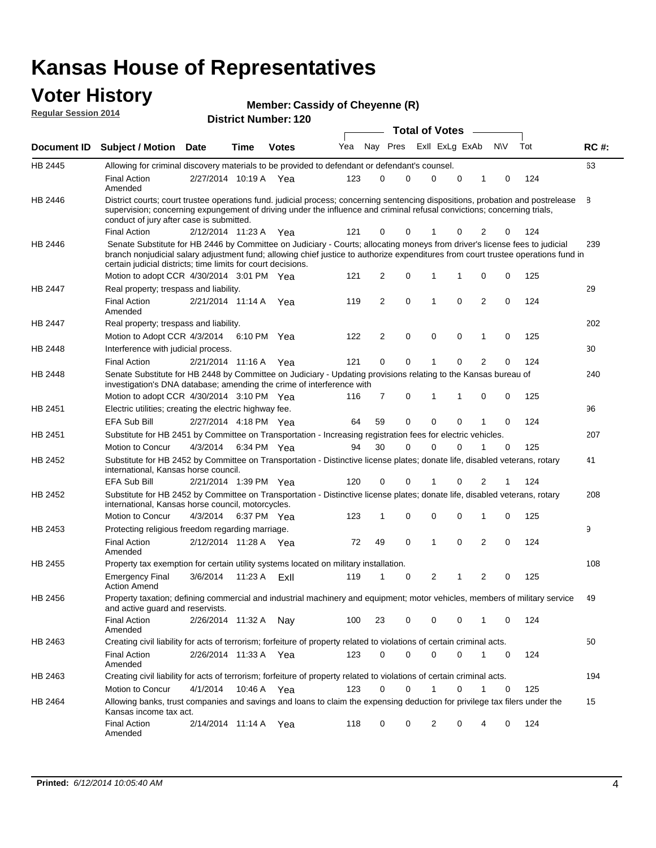#### **Voter History Regular Session 2014**

|  | Member: Cassidy of Cheyenne (R) |  |  |
|--|---------------------------------|--|--|
|--|---------------------------------|--|--|

|                    |                                                                                                                                                                                                                                                                                                                                 |                       | <b>Total of Votes</b> |              |     |                |             |  |                |             |                |           |     |  |             |
|--------------------|---------------------------------------------------------------------------------------------------------------------------------------------------------------------------------------------------------------------------------------------------------------------------------------------------------------------------------|-----------------------|-----------------------|--------------|-----|----------------|-------------|--|----------------|-------------|----------------|-----------|-----|--|-------------|
| <b>Document ID</b> | <b>Subject / Motion Date</b>                                                                                                                                                                                                                                                                                                    |                       | Time                  | <b>Votes</b> | Yea |                | Nay Pres    |  | Exll ExLg ExAb |             |                | <b>NV</b> | Tot |  | <b>RC#:</b> |
| HB 2445            | Allowing for criminal discovery materials to be provided to defendant or defendant's counsel.                                                                                                                                                                                                                                   |                       |                       |              |     |                |             |  |                |             |                |           |     |  | 63          |
|                    | <b>Final Action</b><br>Amended                                                                                                                                                                                                                                                                                                  | 2/27/2014 10:19 A Yea |                       |              | 123 | 0              | 0           |  | $\mathbf 0$    | 0           | 1              | 0         | 124 |  |             |
| HB 2446            | District courts; court trustee operations fund. judicial process; concerning sentencing dispositions, probation and postrelease<br>supervision; concerning expungement of driving under the influence and criminal refusal convictions; concerning trials,<br>conduct of jury after case is submitted.                          |                       |                       |              |     |                |             |  |                |             |                |           |     |  | 8           |
|                    | <b>Final Action</b>                                                                                                                                                                                                                                                                                                             | 2/12/2014 11:23 A Yea |                       |              | 121 | 0              | 0           |  |                | 0           | 2              | 0         | 124 |  |             |
| HB 2446            | Senate Substitute for HB 2446 by Committee on Judiciary - Courts; allocating moneys from driver's license fees to judicial<br>branch nonjudicial salary adjustment fund; allowing chief justice to authorize expenditures from court trustee operations fund in<br>certain judicial districts; time limits for court decisions. |                       |                       |              |     |                |             |  |                |             |                |           |     |  | 239         |
|                    | Motion to adopt CCR 4/30/2014 3:01 PM Yea                                                                                                                                                                                                                                                                                       |                       |                       |              | 121 | 2              | 0           |  | $\mathbf{1}$   | 1           | 0              | 0         | 125 |  |             |
| HB 2447            | Real property; trespass and liability.                                                                                                                                                                                                                                                                                          |                       |                       |              |     |                |             |  |                |             |                |           |     |  | 29          |
|                    | <b>Final Action</b><br>Amended                                                                                                                                                                                                                                                                                                  | 2/21/2014 11:14 A Yea |                       |              | 119 | 2              | 0           |  | 1              | $\mathbf 0$ | $\overline{2}$ | 0         | 124 |  |             |
| HB 2447            | Real property; trespass and liability.                                                                                                                                                                                                                                                                                          |                       |                       |              |     |                |             |  |                |             |                |           |     |  | 202         |
|                    | Motion to Adopt CCR 4/3/2014                                                                                                                                                                                                                                                                                                    |                       |                       | 6:10 PM Yea  | 122 | $\overline{2}$ | 0           |  | $\mathbf 0$    | 0           | 1              | 0         | 125 |  |             |
| HB 2448            | Interference with judicial process.                                                                                                                                                                                                                                                                                             |                       |                       |              |     |                |             |  |                |             |                |           |     |  | 30          |
|                    | <b>Final Action</b>                                                                                                                                                                                                                                                                                                             | 2/21/2014 11:16 A Yea |                       |              | 121 | 0              | $\mathbf 0$ |  | 1              | $\mathbf 0$ | 2              | 0         | 124 |  |             |
| HB 2448            | Senate Substitute for HB 2448 by Committee on Judiciary - Updating provisions relating to the Kansas bureau of<br>investigation's DNA database; amending the crime of interference with                                                                                                                                         |                       |                       |              |     |                |             |  |                |             |                |           |     |  | 240         |
|                    | Motion to adopt CCR 4/30/2014 3:10 PM Yea                                                                                                                                                                                                                                                                                       |                       |                       |              | 116 | 7              | 0           |  | 1              | 1           | 0              | 0         | 125 |  |             |
| HB 2451            | Electric utilities; creating the electric highway fee.                                                                                                                                                                                                                                                                          |                       |                       |              |     |                |             |  |                |             |                |           |     |  | 96          |
|                    | EFA Sub Bill                                                                                                                                                                                                                                                                                                                    | 2/27/2014 4:18 PM Yea |                       |              | 64  | 59             | 0           |  | $\mathbf 0$    | $\mathbf 0$ | 1              | 0         | 124 |  |             |
| HB 2451            | Substitute for HB 2451 by Committee on Transportation - Increasing registration fees for electric vehicles.<br>Motion to Concur                                                                                                                                                                                                 |                       |                       |              | 94  | 30             | 0           |  | $\Omega$       | 0           | 1              |           |     |  | 207         |
| HB 2452            | Substitute for HB 2452 by Committee on Transportation - Distinctive license plates; donate life, disabled veterans, rotary                                                                                                                                                                                                      | 4/3/2014              |                       | 6:34 PM Yea  |     |                |             |  |                |             |                | 0         | 125 |  |             |
|                    | international, Kansas horse council.                                                                                                                                                                                                                                                                                            |                       |                       |              |     |                |             |  |                |             |                |           |     |  | 41          |
|                    | <b>EFA Sub Bill</b>                                                                                                                                                                                                                                                                                                             | 2/21/2014 1:39 PM Yea |                       |              | 120 | 0              | 0           |  |                | 0           | 2              | 1         | 124 |  |             |
| HB 2452            | Substitute for HB 2452 by Committee on Transportation - Distinctive license plates; donate life, disabled veterans, rotary<br>international, Kansas horse council, motorcycles.                                                                                                                                                 |                       |                       |              |     |                |             |  |                |             |                |           |     |  | 208         |
|                    | Motion to Concur                                                                                                                                                                                                                                                                                                                | 4/3/2014              |                       | 6:37 PM Yea  | 123 | 1              | 0           |  | $\mathbf 0$    | $\mathbf 0$ | 1              | 0         | 125 |  |             |
| HB 2453            | Protecting religious freedom regarding marriage.                                                                                                                                                                                                                                                                                |                       |                       |              |     |                |             |  |                |             |                |           |     |  | 9           |
|                    | <b>Final Action</b><br>Amended                                                                                                                                                                                                                                                                                                  | 2/12/2014 11:28 A Yea |                       |              | 72  | 49             | 0           |  | 1              | 0           | $\overline{2}$ | 0         | 124 |  |             |
| HB 2455            | Property tax exemption for certain utility systems located on military installation.                                                                                                                                                                                                                                            |                       |                       |              |     |                |             |  |                |             |                |           |     |  | 108         |
|                    | <b>Emergency Final</b><br><b>Action Amend</b>                                                                                                                                                                                                                                                                                   | 3/6/2014              | 11:23 A               | ExII         | 119 | 1              | 0           |  | 2              | 1           | $\overline{c}$ | 0         | 125 |  |             |
| HB 2456            | Property taxation; defining commercial and industrial machinery and equipment; motor vehicles, members of military service<br>and active guard and reservists.                                                                                                                                                                  |                       |                       |              |     |                |             |  |                |             |                |           |     |  | 49          |
|                    | <b>Final Action</b><br>Amended                                                                                                                                                                                                                                                                                                  | 2/26/2014 11:32 A Nay |                       |              | 100 | 23             | 0           |  | 0              | 0           | 1              | 0         | 124 |  |             |
| HB 2463            | Creating civil liability for acts of terrorism; forfeiture of property related to violations of certain criminal acts.                                                                                                                                                                                                          |                       |                       |              |     |                |             |  |                |             |                |           |     |  | 50          |
|                    | Final Action<br>Amended                                                                                                                                                                                                                                                                                                         | 2/26/2014 11:33 A Yea |                       |              | 123 | 0              | 0           |  | $\mathbf 0$    | 0           | $\mathbf{1}$   | 0         | 124 |  |             |
| HB 2463            | Creating civil liability for acts of terrorism; forfeiture of property related to violations of certain criminal acts.                                                                                                                                                                                                          |                       |                       |              |     |                |             |  |                |             |                |           |     |  | 194         |
|                    | Motion to Concur                                                                                                                                                                                                                                                                                                                | 4/1/2014              |                       | 10:46 A Yea  | 123 | 0              | 0           |  | 1              | 0           | 1              | 0         | 125 |  |             |
| HB 2464            | Allowing banks, trust companies and savings and loans to claim the expensing deduction for privilege tax filers under the<br>Kansas income tax act.                                                                                                                                                                             |                       |                       |              |     |                |             |  |                |             |                |           |     |  | 15          |
|                    | <b>Final Action</b><br>Amended                                                                                                                                                                                                                                                                                                  | 2/14/2014 11:14 A Yea |                       |              | 118 | 0              | 0           |  | 2              | 0           | 4              | 0         | 124 |  |             |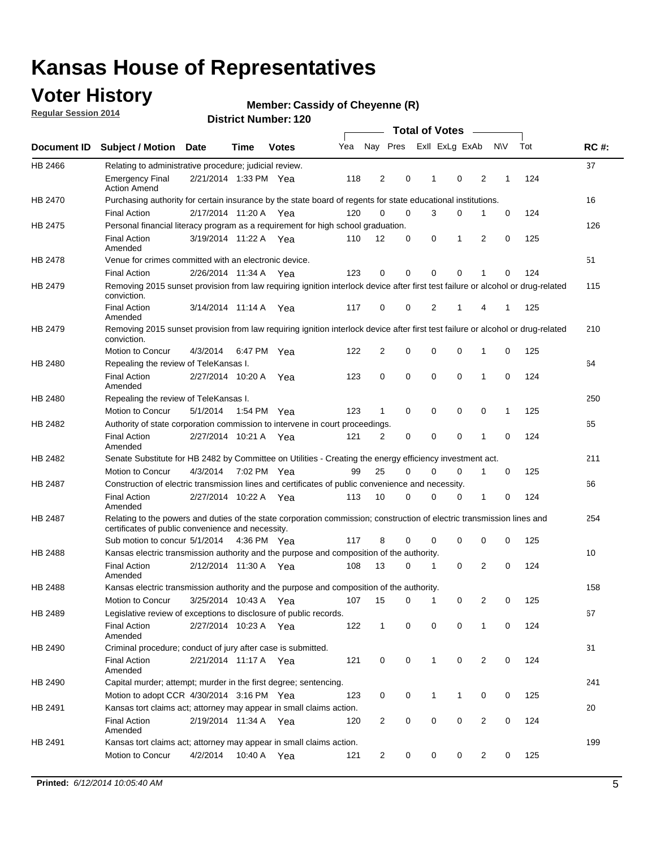### **Voter History**

**Regular Session 2014**

#### **Member: Cassidy of Cheyenne (R)**

|                |                                                                                                                                                                             |                       |      |              |     |          |             | <b>Total of Votes</b> |                |   |             |     |             |
|----------------|-----------------------------------------------------------------------------------------------------------------------------------------------------------------------------|-----------------------|------|--------------|-----|----------|-------------|-----------------------|----------------|---|-------------|-----|-------------|
|                | Document ID Subject / Motion Date                                                                                                                                           |                       | Time | <b>Votes</b> | Yea | Nay Pres |             |                       | Exll ExLg ExAb |   | <b>NV</b>   | Tot | <b>RC#:</b> |
| HB 2466        | Relating to administrative procedure; judicial review.                                                                                                                      |                       |      |              |     |          |             |                       |                |   |             |     | 37          |
|                | <b>Emergency Final</b><br><b>Action Amend</b>                                                                                                                               | 2/21/2014 1:33 PM Yea |      |              | 118 | 2        | 0           | 1                     | $\mathbf 0$    | 2 | 1           | 124 |             |
| HB 2470        | Purchasing authority for certain insurance by the state board of regents for state educational institutions.                                                                |                       |      |              |     |          |             |                       |                |   |             |     | 16          |
|                | <b>Final Action</b>                                                                                                                                                         | 2/17/2014 11:20 A Yea |      |              | 120 | 0        | 0           | 3                     | 0              | 1 | 0           | 124 |             |
| HB 2475        | Personal financial literacy program as a requirement for high school graduation.                                                                                            |                       |      |              |     |          |             |                       |                |   |             |     | 126         |
|                | <b>Final Action</b><br>Amended                                                                                                                                              | 3/19/2014 11:22 A Yea |      |              | 110 | 12       | 0           | 0                     | 1              | 2 | 0           | 125 |             |
| HB 2478        | Venue for crimes committed with an electronic device.                                                                                                                       |                       |      |              |     |          |             |                       |                |   |             |     | 51          |
|                | <b>Final Action</b>                                                                                                                                                         | 2/26/2014 11:34 A     |      | Yea          | 123 | 0        | $\mathbf 0$ | $\mathbf 0$           | $\mathbf 0$    | 1 | 0           | 124 |             |
| HB 2479        | Removing 2015 sunset provision from law requiring ignition interlock device after first test failure or alcohol or drug-related<br>conviction.                              |                       |      |              |     |          |             |                       |                |   |             |     | 115         |
|                | <b>Final Action</b><br>Amended                                                                                                                                              | 3/14/2014 11:14 A     |      | Yea          | 117 | 0        | 0           | 2                     | 1              | 4 | 1           | 125 |             |
| HB 2479        | Removing 2015 sunset provision from law requiring ignition interlock device after first test failure or alcohol or drug-related<br>conviction.                              |                       |      |              |     |          |             |                       |                |   |             |     | 210         |
|                | Motion to Concur                                                                                                                                                            | 4/3/2014              |      | 6:47 PM Yea  | 122 | 2        | 0           | 0                     | 0              | 1 | 0           | 125 |             |
| HB 2480        | Repealing the review of TeleKansas I.                                                                                                                                       |                       |      |              |     |          |             |                       |                |   |             |     | 64          |
|                | <b>Final Action</b><br>Amended                                                                                                                                              | 2/27/2014 10:20 A     |      | Yea          | 123 | 0        | 0           | $\mathbf 0$           | $\mathbf 0$    | 1 | 0           | 124 |             |
| <b>HB 2480</b> | Repealing the review of TeleKansas I.                                                                                                                                       |                       |      |              |     |          |             |                       |                |   |             |     | 250         |
|                | Motion to Concur                                                                                                                                                            | 5/1/2014              |      | 1:54 PM Yea  | 123 | 1        | 0           | 0                     | $\mathbf 0$    | 0 | 1           | 125 |             |
| HB 2482        | Authority of state corporation commission to intervene in court proceedings.                                                                                                |                       |      |              |     |          |             |                       |                |   |             |     | 65          |
|                | <b>Final Action</b><br>Amended                                                                                                                                              | 2/27/2014 10:21 A     |      | Yea          | 121 | 2        | 0           | $\mathbf 0$           | $\mathbf 0$    | 1 | $\mathbf 0$ | 124 |             |
| HB 2482        | Senate Substitute for HB 2482 by Committee on Utilities - Creating the energy efficiency investment act.                                                                    |                       |      |              |     |          |             |                       |                |   |             |     | 211         |
|                | Motion to Concur                                                                                                                                                            | 4/3/2014 7:02 PM Yea  |      |              | 99  | 25       | $\mathbf 0$ | 0                     | 0              | 1 | 0           | 125 |             |
| HB 2487        | Construction of electric transmission lines and certificates of public convenience and necessity.                                                                           |                       |      |              |     |          |             |                       |                |   |             |     | 66          |
|                | <b>Final Action</b><br>Amended                                                                                                                                              | 2/27/2014 10:22 A Yea |      |              | 113 | 10       | 0           | 0                     | 0              | 1 | 0           | 124 |             |
| HB 2487        | Relating to the powers and duties of the state corporation commission; construction of electric transmission lines and<br>certificates of public convenience and necessity. |                       |      |              |     |          |             |                       |                |   |             |     | 254         |
|                | Sub motion to concur 5/1/2014                                                                                                                                               |                       |      | 4:36 PM Yea  | 117 | 8        | 0           | 0                     | $\mathbf 0$    | 0 | 0           | 125 |             |
| <b>HB 2488</b> | Kansas electric transmission authority and the purpose and composition of the authority.                                                                                    |                       |      |              |     |          |             |                       |                |   |             |     | 10          |
|                | <b>Final Action</b><br>Amended                                                                                                                                              | 2/12/2014 11:30 A Yea |      |              | 108 | 13       | 0           | 1                     | 0              | 2 | 0           | 124 |             |
| <b>HB 2488</b> | Kansas electric transmission authority and the purpose and composition of the authority.                                                                                    |                       |      |              |     |          |             |                       |                |   |             |     | 158         |
|                | Motion to Concur                                                                                                                                                            | 3/25/2014 10:43 A     |      | Yea          | 107 | 15       | 0           | 1                     | 0              | 2 | 0           | 125 |             |
| HB 2489        | Legislative review of exceptions to disclosure of public records.                                                                                                           |                       |      |              |     |          |             |                       |                |   |             |     | 67          |
|                | <b>Final Action</b><br>Amended                                                                                                                                              | 2/27/2014 10:23 A Yea |      |              | 122 | 1        | 0           | 0                     | $\mathbf 0$    | 1 | 0           | 124 |             |
| HB 2490        | Criminal procedure; conduct of jury after case is submitted.                                                                                                                |                       |      |              |     |          |             |                       |                |   |             |     | 31          |
|                | <b>Final Action</b><br>Amended                                                                                                                                              | 2/21/2014 11:17 A Yea |      |              | 121 | 0        | 0           | $\mathbf{1}$          | $\mathbf 0$    | 2 | 0           | 124 |             |
| HB 2490        | Capital murder; attempt; murder in the first degree; sentencing.                                                                                                            |                       |      |              |     |          |             |                       |                |   |             |     | 241         |
|                | Motion to adopt CCR 4/30/2014 3:16 PM Yea                                                                                                                                   |                       |      |              | 123 | 0        | 0           | $\mathbf{1}$          | 1              | 0 | 0           | 125 |             |
| HB 2491        | Kansas tort claims act; attorney may appear in small claims action.                                                                                                         |                       |      |              |     |          |             |                       |                |   |             |     | 20          |
|                | <b>Final Action</b><br>Amended                                                                                                                                              | 2/19/2014 11:34 A Yea |      |              | 120 | 2        | 0           | 0                     | $\pmb{0}$      | 2 | 0           | 124 |             |
| HB 2491        | Kansas tort claims act; attorney may appear in small claims action.                                                                                                         |                       |      |              |     |          |             |                       |                |   |             |     | 199         |
|                | Motion to Concur                                                                                                                                                            | 4/2/2014              |      | 10:40 A Yea  | 121 | 2        | 0           | 0                     | 0              | 2 | 0           | 125 |             |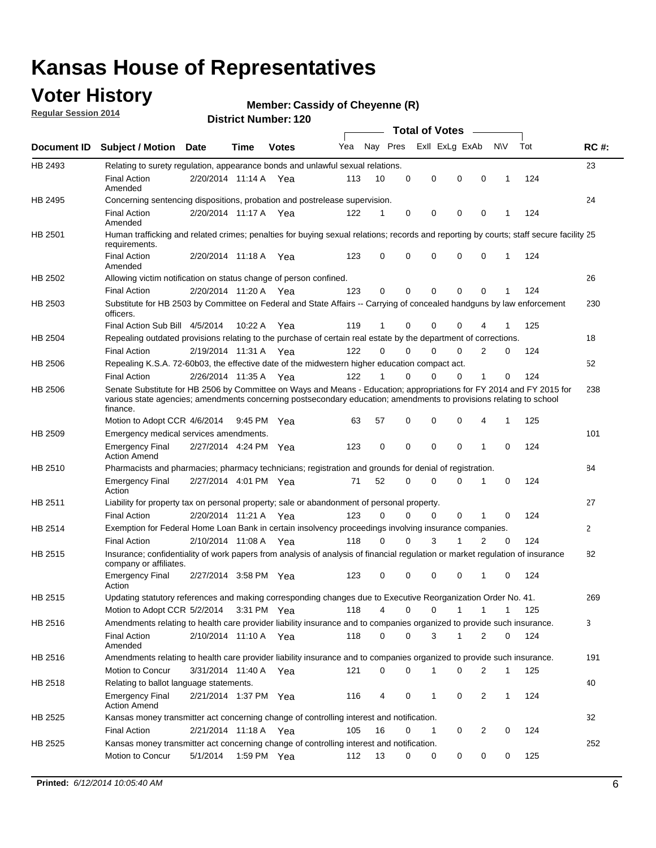### **Voter History**

**Regular Session 2014**

#### **Member: Cassidy of Cheyenne (R)**

|             |                                                                                                                                                                                                                                                        |                       |             | <b>DISTRICT NUMBER: 120</b> |     |    |          | <b>Total of Votes</b> | $\sim$ 100 $\mu$ |                |              |     |             |
|-------------|--------------------------------------------------------------------------------------------------------------------------------------------------------------------------------------------------------------------------------------------------------|-----------------------|-------------|-----------------------------|-----|----|----------|-----------------------|------------------|----------------|--------------|-----|-------------|
| Document ID | <b>Subject / Motion Date</b>                                                                                                                                                                                                                           |                       | Time        | <b>Votes</b>                | Yea |    | Nay Pres |                       | Exll ExLg ExAb   | <b>NV</b>      |              | Tot | <b>RC#:</b> |
| HB 2493     | Relating to surety regulation, appearance bonds and unlawful sexual relations.                                                                                                                                                                         |                       |             |                             |     |    |          |                       |                  |                |              |     | 23          |
|             | <b>Final Action</b><br>Amended                                                                                                                                                                                                                         | 2/20/2014 11:14 A Yea |             |                             | 113 | 10 | 0        | 0                     | $\mathbf 0$      | $\mathbf 0$    | 1            | 124 |             |
| HB 2495     | Concerning sentencing dispositions, probation and postrelease supervision.                                                                                                                                                                             |                       |             |                             |     |    |          |                       |                  |                |              |     | 24          |
|             | <b>Final Action</b><br>Amended                                                                                                                                                                                                                         | 2/20/2014 11:17 A     |             | Yea                         | 122 | 1  | 0        | 0                     | $\mathbf 0$      | 0              | 1            | 124 |             |
| HB 2501     | Human trafficking and related crimes; penalties for buying sexual relations; records and reporting by courts; staff secure facility 25<br>requirements.                                                                                                |                       |             |                             |     |    |          |                       |                  |                |              |     |             |
|             | <b>Final Action</b><br>Amended                                                                                                                                                                                                                         | 2/20/2014 11:18 A     |             | Yea                         | 123 | 0  | 0        | 0                     | 0                | $\mathbf 0$    | 1            | 124 |             |
| HB 2502     | Allowing victim notification on status change of person confined.                                                                                                                                                                                      |                       |             |                             |     |    |          |                       |                  |                |              |     | 26          |
|             | <b>Final Action</b>                                                                                                                                                                                                                                    | 2/20/2014 11:20 A Yea |             |                             | 123 | 0  | 0        | 0                     | 0                | 0              | 1            | 124 |             |
| HB 2503     | Substitute for HB 2503 by Committee on Federal and State Affairs -- Carrying of concealed handguns by law enforcement<br>officers.                                                                                                                     |                       |             |                             |     |    |          |                       |                  |                |              |     | 230         |
|             | Final Action Sub Bill 4/5/2014                                                                                                                                                                                                                         |                       | 10:22 A     | Yea                         | 119 | 1  | 0        | 0                     | 0                |                |              | 125 |             |
| HB 2504     | Repealing outdated provisions relating to the purchase of certain real estate by the department of corrections.                                                                                                                                        |                       |             |                             |     |    |          |                       |                  |                |              |     | 18          |
|             | <b>Final Action</b>                                                                                                                                                                                                                                    | 2/19/2014 11:31 A     |             | Yea                         | 122 | 0  | 0        | 0                     | 0                | 2              | 0            | 124 |             |
| HB 2506     | Repealing K.S.A. 72-60b03, the effective date of the midwestern higher education compact act.                                                                                                                                                          |                       |             |                             |     |    |          |                       |                  |                |              |     | 52          |
|             | <b>Final Action</b>                                                                                                                                                                                                                                    | 2/26/2014 11:35 A Yea |             |                             | 122 | 1  | 0        | 0                     | $\Omega$         | 1              | 0            | 124 |             |
| HB 2506     | Senate Substitute for HB 2506 by Committee on Ways and Means - Education; appropriations for FY 2014 and FY 2015 for<br>various state agencies; amendments concerning postsecondary education; amendments to provisions relating to school<br>finance. |                       |             |                             |     |    |          |                       |                  |                |              |     | 238         |
|             | Motion to Adopt CCR 4/6/2014                                                                                                                                                                                                                           |                       | 9:45 PM Yea |                             | 63  | 57 | 0        | 0                     | 0                | 4              | 1            | 125 |             |
| HB 2509     | Emergency medical services amendments.                                                                                                                                                                                                                 |                       |             |                             |     |    |          |                       |                  |                |              |     | 101         |
|             | <b>Emergency Final</b><br><b>Action Amend</b>                                                                                                                                                                                                          | 2/27/2014 4:24 PM Yea |             |                             | 123 | 0  | 0        | $\mathbf 0$           | $\Omega$         | 1              | $\Omega$     | 124 |             |
| HB 2510     | Pharmacists and pharmacies; pharmacy technicians; registration and grounds for denial of registration.                                                                                                                                                 |                       |             |                             |     |    |          |                       |                  |                |              |     | 84          |
|             | <b>Emergency Final</b><br>Action                                                                                                                                                                                                                       | 2/27/2014 4:01 PM Yea |             |                             | 71  | 52 | 0        | 0                     | 0                | 1              | $\Omega$     | 124 |             |
| HB 2511     | Liability for property tax on personal property; sale or abandonment of personal property.                                                                                                                                                             |                       |             |                             |     |    |          |                       |                  |                |              |     | 27          |
|             | <b>Final Action</b>                                                                                                                                                                                                                                    | 2/20/2014 11:21 A Yea |             |                             | 123 | 0  | 0        | 0                     | 0                | 1              | 0            | 124 |             |
| HB 2514     | Exemption for Federal Home Loan Bank in certain insolvency proceedings involving insurance companies.                                                                                                                                                  |                       |             |                             |     |    |          |                       |                  |                |              |     | 2           |
|             | <b>Final Action</b>                                                                                                                                                                                                                                    | 2/10/2014 11:08 A Yea |             |                             | 118 | 0  | $\Omega$ | 3                     | 1                | $\overline{2}$ | 0            | 124 |             |
| HB 2515     | Insurance; confidentiality of work papers from analysis of analysis of financial regulation or market regulation of insurance<br>company or affiliates.                                                                                                |                       |             |                             |     |    |          |                       |                  |                |              |     | 82          |
|             | <b>Emergency Final</b><br>Action                                                                                                                                                                                                                       | 2/27/2014 3:58 PM Yea |             |                             | 123 | 0  | 0        | 0                     | 0                | 1              | $\Omega$     | 124 |             |
| HB 2515     | Updating statutory references and making corresponding changes due to Executive Reorganization Order No. 41                                                                                                                                            |                       |             |                             |     |    |          |                       |                  |                |              |     | 269         |
|             | Motion to Adopt CCR 5/2/2014 3:31 PM Yea                                                                                                                                                                                                               |                       |             |                             | 118 | 4  | 0        | 0                     | 1                | 1              | 1            | 125 |             |
| HB 2516     | Amendments relating to health care provider liability insurance and to companies organized to provide such insurance.                                                                                                                                  |                       |             |                             |     |    |          |                       |                  |                |              |     | 3           |
|             | <b>Final Action</b><br>Amended                                                                                                                                                                                                                         | 2/10/2014 11:10 A Yea |             |                             | 118 | 0  | 0        | 3                     | 1                | 2              | 0            | 124 |             |
| HB 2516     | Amendments relating to health care provider liability insurance and to companies organized to provide such insurance.                                                                                                                                  |                       |             |                             |     |    |          |                       |                  |                |              |     | 191         |
|             | Motion to Concur                                                                                                                                                                                                                                       | 3/31/2014 11:40 A Yea |             |                             | 121 | 0  | 0        | 1                     | $\Omega$         | 2              | 1            | 125 |             |
| HB 2518     | Relating to ballot language statements.                                                                                                                                                                                                                |                       |             |                             |     |    |          |                       |                  |                |              |     | 40          |
|             | <b>Emergency Final</b><br><b>Action Amend</b>                                                                                                                                                                                                          | 2/21/2014 1:37 PM Yea |             |                             | 116 | 4  | 0        | 1                     | 0                | 2              | $\mathbf{1}$ | 124 |             |
| HB 2525     | Kansas money transmitter act concerning change of controlling interest and notification.                                                                                                                                                               |                       |             |                             |     |    |          |                       |                  |                |              |     | 32          |
|             | <b>Final Action</b>                                                                                                                                                                                                                                    | 2/21/2014 11:18 A Yea |             |                             | 105 | 16 | 0        | 1                     | 0                | 2              | 0            | 124 |             |
| HB 2525     | Kansas money transmitter act concerning change of controlling interest and notification.                                                                                                                                                               |                       |             |                             |     |    |          |                       |                  |                |              |     | 252         |
|             | Motion to Concur                                                                                                                                                                                                                                       | 5/1/2014              | 1:59 PM Yea |                             | 112 | 13 | 0        | 0                     | 0                | 0              | 0            | 125 |             |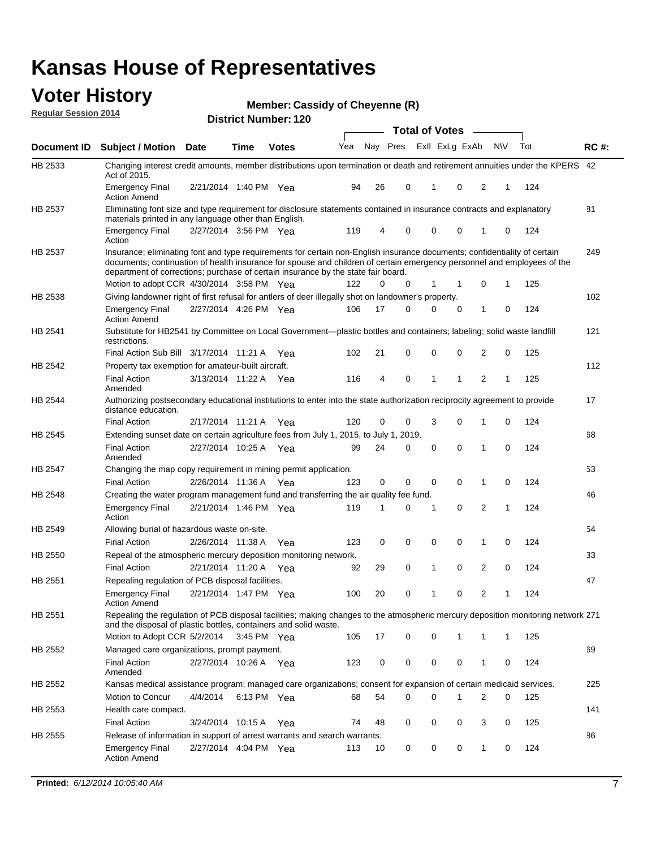#### **Voter History Regular Session 2014**

**Member: Cassidy of Cheyenne (R)** 

|                |                                                                                                                                                                                                                                                                                                                                                     |                       |             |              |     | <b>Total of Votes</b> |                         |  |              |          |     |              |     |             |
|----------------|-----------------------------------------------------------------------------------------------------------------------------------------------------------------------------------------------------------------------------------------------------------------------------------------------------------------------------------------------------|-----------------------|-------------|--------------|-----|-----------------------|-------------------------|--|--------------|----------|-----|--------------|-----|-------------|
| Document ID    | <b>Subject / Motion Date</b>                                                                                                                                                                                                                                                                                                                        |                       | <b>Time</b> | <b>Votes</b> | Yea |                       | Nay Pres Exll ExLg ExAb |  |              |          | N\V |              | Tot | <b>RC#:</b> |
| HB 2533        | Changing interest credit amounts, member distributions upon termination or death and retirement annuities under the KPERS 42<br>Act of 2015.                                                                                                                                                                                                        |                       |             |              |     |                       |                         |  |              |          |     |              |     |             |
|                | <b>Emergency Final</b><br><b>Action Amend</b>                                                                                                                                                                                                                                                                                                       | 2/21/2014 1:40 PM Yea |             |              | 94  | 26                    | 0                       |  | 1            | 0        | 2   | 1            | 124 |             |
| HB 2537        | Eliminating font size and type requirement for disclosure statements contained in insurance contracts and explanatory                                                                                                                                                                                                                               |                       |             |              |     |                       |                         |  |              |          |     |              |     | 81          |
|                | materials printed in any language other than English.<br><b>Emergency Final</b>                                                                                                                                                                                                                                                                     | 2/27/2014 3:56 PM Yea |             |              | 119 | 4                     | 0                       |  | 0            | 0        | 1   | 0            | 124 |             |
| HB 2537        | Action<br>Insurance; eliminating font and type requirements for certain non-English insurance documents; confidentiality of certain<br>documents; continuation of health insurance for spouse and children of certain emergency personnel and employees of the<br>department of corrections; purchase of certain insurance by the state fair board. |                       |             |              |     |                       |                         |  |              |          |     |              |     | 249         |
|                | Motion to adopt CCR 4/30/2014 3:58 PM Yea                                                                                                                                                                                                                                                                                                           |                       |             |              | 122 | 0                     | 0                       |  | 1            | 1        | 0   | 1            | 125 |             |
| HB 2538        | Giving landowner right of first refusal for antlers of deer illegally shot on landowner's property.                                                                                                                                                                                                                                                 |                       |             |              |     |                       |                         |  |              |          |     |              |     | 102         |
|                | <b>Emergency Final</b><br><b>Action Amend</b>                                                                                                                                                                                                                                                                                                       | 2/27/2014 4:26 PM Yea |             |              | 106 | 17                    | 0                       |  | 0            | 0        | 1   | 0            | 124 |             |
| HB 2541        | Substitute for HB2541 by Committee on Local Government—plastic bottles and containers; labeling; solid waste landfill<br>restrictions.                                                                                                                                                                                                              |                       |             |              |     |                       |                         |  |              |          |     |              |     | 121         |
|                | Final Action Sub Bill 3/17/2014 11:21 A Yea                                                                                                                                                                                                                                                                                                         |                       |             |              | 102 | 21                    | 0                       |  | 0            | 0        | 2   | 0            | 125 |             |
| HB 2542        | Property tax exemption for amateur-built aircraft.<br><b>Final Action</b>                                                                                                                                                                                                                                                                           | 3/13/2014 11:22 A Yea |             |              | 116 | 4                     | 0                       |  | $\mathbf{1}$ | 1        | 2   | 1            | 125 | 112         |
| <b>HB 2544</b> | Amended<br>Authorizing postsecondary educational institutions to enter into the state authorization reciprocity agreement to provide<br>distance education.                                                                                                                                                                                         |                       |             |              |     |                       |                         |  |              |          |     |              |     | 17          |
|                | <b>Final Action</b>                                                                                                                                                                                                                                                                                                                                 | 2/17/2014 11:21 A Yea |             |              | 120 | 0                     | 0                       |  | 3            | 0        | 1   | 0            | 124 |             |
| HB 2545        | Extending sunset date on certain agriculture fees from July 1, 2015, to July 1, 2019.                                                                                                                                                                                                                                                               |                       |             |              |     |                       |                         |  |              |          |     |              |     | 68          |
|                | <b>Final Action</b><br>Amended                                                                                                                                                                                                                                                                                                                      | 2/27/2014 10:25 A Yea |             |              | 99  | 24                    | 0                       |  | $\mathbf 0$  | $\Omega$ | 1   | $\Omega$     | 124 |             |
| HB 2547        | Changing the map copy requirement in mining permit application.                                                                                                                                                                                                                                                                                     |                       |             |              |     |                       |                         |  |              |          |     |              |     | 53          |
|                | <b>Final Action</b>                                                                                                                                                                                                                                                                                                                                 | 2/26/2014 11:36 A     |             | Yea          | 123 | 0                     | 0                       |  | 0            | 0        | 1   | 0            | 124 |             |
| HB 2548        | Creating the water program management fund and transferring the air quality fee fund.                                                                                                                                                                                                                                                               |                       |             |              |     |                       |                         |  |              |          |     |              |     | 46          |
|                | <b>Emergency Final</b><br>Action                                                                                                                                                                                                                                                                                                                    | 2/21/2014 1:46 PM Yea |             |              | 119 | 1                     | 0                       |  | 1            | 0        | 2   | 1            | 124 |             |
| HB 2549        | Allowing burial of hazardous waste on-site.                                                                                                                                                                                                                                                                                                         |                       |             |              |     |                       |                         |  |              |          |     |              |     | 54          |
|                | <b>Final Action</b>                                                                                                                                                                                                                                                                                                                                 | 2/26/2014 11:38 A     |             | Yea          | 123 | 0                     | 0                       |  | 0            | 0        | 1   | 0            | 124 |             |
| HB 2550        | Repeal of the atmospheric mercury deposition monitoring network.                                                                                                                                                                                                                                                                                    |                       |             |              |     |                       |                         |  |              |          |     |              |     | 33          |
|                | <b>Final Action</b>                                                                                                                                                                                                                                                                                                                                 | 2/21/2014 11:20 A     |             | Yea          | 92  | 29                    | 0                       |  | 1            | 0        | 2   | 0            | 124 |             |
| HB 2551        | Repealing regulation of PCB disposal facilities.                                                                                                                                                                                                                                                                                                    |                       |             |              |     |                       |                         |  |              |          |     |              |     | 47          |
|                | <b>Emergency Final</b><br>Action Amend                                                                                                                                                                                                                                                                                                              | 2/21/2014 1:47 PM Yea |             |              | 100 | 20                    | 0                       |  | 1            | 0        | 2   | 1            | 124 |             |
| HB 2551        | Repealing the regulation of PCB disposal facilities; making changes to the atmospheric mercury deposition monitoring network 271<br>and the disposal of plastic bottles, containers and solid waste.                                                                                                                                                |                       |             |              |     |                       |                         |  |              |          |     |              |     |             |
|                | Motion to Adopt CCR 5/2/2014                                                                                                                                                                                                                                                                                                                        |                       | 3:45 PM Yea |              | 105 | 17                    | 0                       |  | 0            | 1        | 1   | $\mathbf{1}$ | 125 |             |
| HB 2552        | Managed care organizations, prompt payment.                                                                                                                                                                                                                                                                                                         |                       |             |              |     |                       |                         |  |              |          |     |              |     | 69          |
|                | <b>Final Action</b><br>Amended                                                                                                                                                                                                                                                                                                                      | 2/27/2014 10:26 A Yea |             |              | 123 | 0                     | 0                       |  | 0            | 0        | 1   | 0            | 124 |             |
| HB 2552        | Kansas medical assistance program; managed care organizations; consent for expansion of certain medicaid services.                                                                                                                                                                                                                                  |                       |             |              |     |                       |                         |  |              |          |     |              |     | 225         |
|                | Motion to Concur                                                                                                                                                                                                                                                                                                                                    | 4/4/2014              | 6:13 PM Yea |              | 68  | 54                    | 0                       |  | 0            | 1        | 2   | 0            | 125 |             |
| HB 2553        | Health care compact.                                                                                                                                                                                                                                                                                                                                |                       |             |              |     |                       |                         |  |              |          |     |              |     | 141         |
|                | <b>Final Action</b>                                                                                                                                                                                                                                                                                                                                 | 3/24/2014 10:15 A     |             | Yea          | 74  | 48                    | 0                       |  | 0            | 0        | 3   | 0            | 125 |             |
| HB 2555        | Release of information in support of arrest warrants and search warrants.                                                                                                                                                                                                                                                                           |                       |             |              |     |                       |                         |  |              |          |     |              |     | 86          |
|                | <b>Emergency Final</b><br><b>Action Amend</b>                                                                                                                                                                                                                                                                                                       | 2/27/2014 4:04 PM Yea |             |              | 113 | 10                    | 0                       |  | 0            | 0        | 1   | 0            | 124 |             |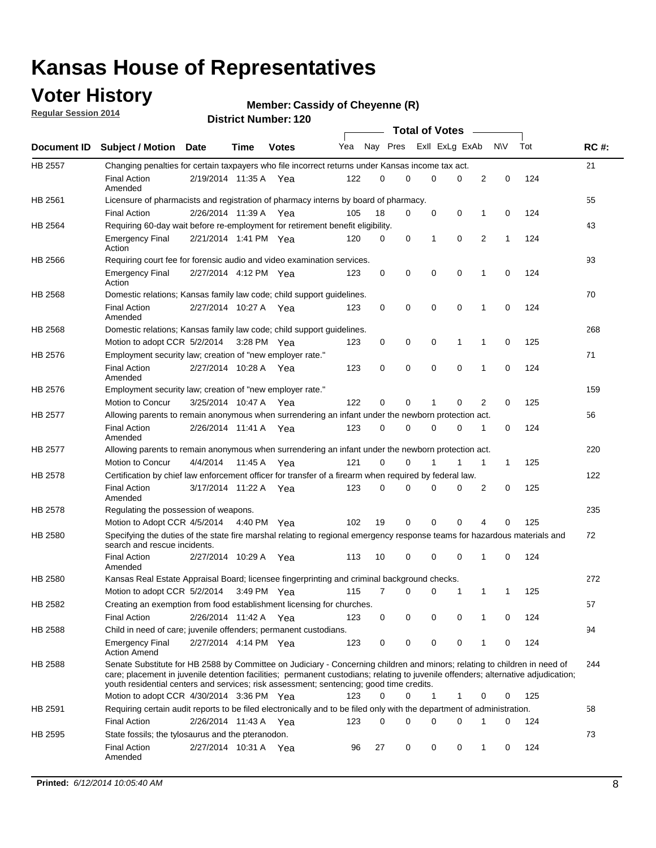### **Voter History**

**Regular Session 2014**

#### **Member: Cassidy of Cheyenne (R)**

|                |                                                                                                                                                                                                                                                                                                                                                           |                       |         |              |     |          |          | <b>Total of Votes</b> |          |   |             |     |             |
|----------------|-----------------------------------------------------------------------------------------------------------------------------------------------------------------------------------------------------------------------------------------------------------------------------------------------------------------------------------------------------------|-----------------------|---------|--------------|-----|----------|----------|-----------------------|----------|---|-------------|-----|-------------|
|                | Document ID Subject / Motion                                                                                                                                                                                                                                                                                                                              | Date                  | Time    | <b>Votes</b> | Yea |          | Nay Pres | Exll ExLg ExAb        |          |   | <b>NV</b>   | Tot | <b>RC#:</b> |
| HB 2557        | Changing penalties for certain taxpayers who file incorrect returns under Kansas income tax act.                                                                                                                                                                                                                                                          |                       |         |              |     |          |          |                       |          |   |             |     | 21          |
|                | <b>Final Action</b><br>Amended                                                                                                                                                                                                                                                                                                                            | 2/19/2014 11:35 A     |         | Yea          | 122 | 0        | 0        | 0                     | 0        | 2 | 0           | 124 |             |
| HB 2561        | Licensure of pharmacists and registration of pharmacy interns by board of pharmacy.                                                                                                                                                                                                                                                                       |                       |         |              |     |          |          |                       |          |   |             |     | 55          |
|                | <b>Final Action</b>                                                                                                                                                                                                                                                                                                                                       | 2/26/2014 11:39 A Yea |         |              | 105 | 18       | 0        | 0                     | 0        | 1 | 0           | 124 |             |
| HB 2564        | Requiring 60-day wait before re-employment for retirement benefit eligibility.                                                                                                                                                                                                                                                                            |                       |         |              |     |          |          |                       |          |   |             |     | 43          |
|                | <b>Emergency Final</b><br>Action                                                                                                                                                                                                                                                                                                                          | 2/21/2014 1:41 PM Yea |         |              | 120 | 0        | 0        | 1                     | 0        | 2 | 1           | 124 |             |
| HB 2566        | Requiring court fee for forensic audio and video examination services.                                                                                                                                                                                                                                                                                    |                       |         |              |     |          |          |                       |          |   |             |     | 93          |
|                | <b>Emergency Final</b><br>Action                                                                                                                                                                                                                                                                                                                          | 2/27/2014 4:12 PM Yea |         |              | 123 | 0        | 0        | 0                     | 0        | 1 | $\mathbf 0$ | 124 |             |
| HB 2568        | Domestic relations; Kansas family law code; child support guidelines.                                                                                                                                                                                                                                                                                     |                       |         |              |     |          |          |                       |          |   |             |     | 70          |
|                | <b>Final Action</b><br>Amended                                                                                                                                                                                                                                                                                                                            | 2/27/2014 10:27 A     |         | Yea          | 123 | 0        | 0        | 0                     | 0        | 1 | 0           | 124 |             |
| HB 2568        | Domestic relations; Kansas family law code; child support guidelines.                                                                                                                                                                                                                                                                                     |                       |         |              |     |          |          |                       |          |   |             |     | 268         |
|                | Motion to adopt CCR 5/2/2014 3:28 PM Yea                                                                                                                                                                                                                                                                                                                  |                       |         |              | 123 | 0        | 0        | 0                     | 1        | 1 | $\mathbf 0$ | 125 |             |
| HB 2576        | Employment security law; creation of "new employer rate."                                                                                                                                                                                                                                                                                                 |                       |         |              |     |          |          |                       |          |   |             |     | 71          |
|                | <b>Final Action</b><br>Amended                                                                                                                                                                                                                                                                                                                            | 2/27/2014 10:28 A     |         | Yea          | 123 | 0        | 0        | 0                     | 0        | 1 | $\mathbf 0$ | 124 |             |
| HB 2576        | Employment security law; creation of "new employer rate."                                                                                                                                                                                                                                                                                                 |                       |         |              |     |          |          |                       |          |   |             |     | 159         |
|                | Motion to Concur                                                                                                                                                                                                                                                                                                                                          | 3/25/2014 10:47 A     |         | Yea          | 122 | 0        | 0        | 1                     | 0        | 2 | 0           | 125 |             |
| <b>HB 2577</b> | Allowing parents to remain anonymous when surrendering an infant under the newborn protection act.                                                                                                                                                                                                                                                        |                       |         |              |     |          |          |                       |          |   |             |     | 56          |
|                | <b>Final Action</b><br>Amended                                                                                                                                                                                                                                                                                                                            | 2/26/2014 11:41 A Yea |         |              | 123 | $\Omega$ | 0        | 0                     | 0        | 1 | 0           | 124 |             |
| HB 2577        | Allowing parents to remain anonymous when surrendering an infant under the newborn protection act.                                                                                                                                                                                                                                                        |                       |         |              |     |          |          |                       |          |   |             |     | 220         |
|                | Motion to Concur                                                                                                                                                                                                                                                                                                                                          | 4/4/2014              | 11:45 A | Yea          | 121 | 0        | 0        |                       | 1        | 1 | 1           | 125 |             |
| HB 2578        | Certification by chief law enforcement officer for transfer of a firearm when required by federal law.                                                                                                                                                                                                                                                    |                       |         |              |     |          |          |                       |          |   |             |     | 122         |
|                | <b>Final Action</b><br>Amended                                                                                                                                                                                                                                                                                                                            | 3/17/2014 11:22 A     |         | Yea          | 123 | $\Omega$ | 0        | 0                     | 0        | 2 | 0           | 125 |             |
| HB 2578        | Regulating the possession of weapons.                                                                                                                                                                                                                                                                                                                     |                       |         |              |     |          |          |                       |          |   |             |     | 235         |
|                | Motion to Adopt CCR 4/5/2014 4:40 PM Yea                                                                                                                                                                                                                                                                                                                  |                       |         |              | 102 | 19       | 0        | 0                     | $\Omega$ | 4 | 0           | 125 |             |
| HB 2580        | Specifying the duties of the state fire marshal relating to regional emergency response teams for hazardous materials and<br>search and rescue incidents.                                                                                                                                                                                                 |                       |         |              |     |          |          |                       |          |   |             |     | 72          |
|                | <b>Final Action</b><br>Amended                                                                                                                                                                                                                                                                                                                            | 2/27/2014 10:29 A     |         | Yea          | 113 | 10       | 0        | 0                     | 0        | 1 | 0           | 124 |             |
| HB 2580        | Kansas Real Estate Appraisal Board; licensee fingerprinting and criminal background checks.                                                                                                                                                                                                                                                               |                       |         |              |     |          |          |                       |          |   |             |     | 272         |
|                | Motion to adopt CCR 5/2/2014                                                                                                                                                                                                                                                                                                                              |                       |         | 3:49 PM Yea  | 115 | 7        | 0        | 0                     | 1        | 1 | 1           | 125 |             |
| HB 2582        | Creating an exemption from food establishment licensing for churches.                                                                                                                                                                                                                                                                                     |                       |         |              |     |          |          |                       |          |   |             |     | 57          |
|                | <b>Final Action</b>                                                                                                                                                                                                                                                                                                                                       | 2/26/2014 11:42 A Yea |         |              | 123 | 0        | 0        | 0                     | 0        | 1 | 0           | 124 |             |
| HB 2588        | Child in need of care; juvenile offenders; permanent custodians.                                                                                                                                                                                                                                                                                          |                       |         |              |     |          |          |                       |          |   |             |     | 94          |
|                | <b>Emergency Final</b><br><b>Action Amend</b>                                                                                                                                                                                                                                                                                                             | 2/27/2014 4:14 PM Yea |         |              | 123 | 0        | 0        | 0                     | 0        | 1 | 0           | 124 |             |
| HB 2588        | Senate Substitute for HB 2588 by Committee on Judiciary - Concerning children and minors; relating to children in need of<br>care; placement in juvenile detention facilities; permanent custodians; relating to juvenile offenders; alternative adjudication;<br>youth residential centers and services; risk assessment; sentencing; good time credits. |                       |         |              |     |          |          |                       |          |   |             |     | 244         |
|                | Motion to adopt CCR 4/30/2014 3:36 PM Yea                                                                                                                                                                                                                                                                                                                 |                       |         |              | 123 | 0        | 0        | 1                     | 1        | 0 | 0           | 125 |             |
| HB 2591        | Requiring certain audit reports to be filed electronically and to be filed only with the department of administration.                                                                                                                                                                                                                                    |                       |         |              |     |          |          |                       |          |   |             |     | 58          |
|                | <b>Final Action</b>                                                                                                                                                                                                                                                                                                                                       | 2/26/2014 11:43 A Yea |         |              | 123 | 0        | 0        | 0                     | 0        | 1 | 0           | 124 |             |
| HB 2595        | State fossils; the tylosaurus and the pteranodon.                                                                                                                                                                                                                                                                                                         |                       |         |              |     |          |          |                       |          |   |             |     | 73          |
|                | <b>Final Action</b><br>Amended                                                                                                                                                                                                                                                                                                                            | 2/27/2014 10:31 A Yea |         |              | 96  | 27       | 0        | 0                     | 0        | 1 | 0           | 124 |             |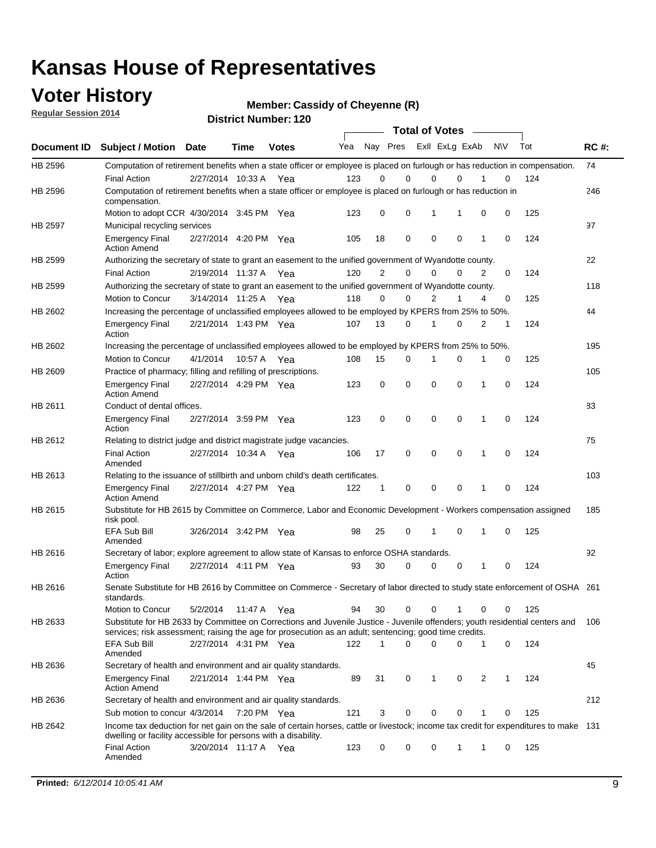### **Voter History**

**Regular Session 2014**

**Member: Cassidy of Cheyenne (R)** 

|             | <b>Total of Votes</b>                                                                                                                                                                                                                 |                       |             |              |     |             |                         |             |             |   |           |     |             |
|-------------|---------------------------------------------------------------------------------------------------------------------------------------------------------------------------------------------------------------------------------------|-----------------------|-------------|--------------|-----|-------------|-------------------------|-------------|-------------|---|-----------|-----|-------------|
| Document ID | <b>Subject / Motion Date</b>                                                                                                                                                                                                          |                       | Time        | <b>Votes</b> | Yea |             | Nay Pres Exll ExLg ExAb |             |             |   | <b>NV</b> | Tot | <b>RC#:</b> |
| HB 2596     | Computation of retirement benefits when a state officer or employee is placed on furlough or has reduction in compensation.                                                                                                           |                       |             |              |     |             |                         |             |             |   |           |     | 74          |
| HB 2596     | <b>Final Action</b><br>Computation of retirement benefits when a state officer or employee is placed on furlough or has reduction in                                                                                                  | 2/27/2014 10:33 A     |             | Yea          | 123 | $\Omega$    | $\Omega$                | $\mathbf 0$ | $\Omega$    |   | 0         | 124 | 246         |
|             | compensation.                                                                                                                                                                                                                         |                       |             |              |     |             |                         |             |             |   |           |     |             |
|             | Motion to adopt CCR 4/30/2014 3:45 PM Yea                                                                                                                                                                                             |                       |             |              | 123 | 0           | 0                       | 1           | 1           | 0 | 0         | 125 |             |
| HB 2597     | Municipal recycling services                                                                                                                                                                                                          |                       |             |              |     |             |                         |             |             |   |           |     | 97          |
|             | <b>Emergency Final</b><br><b>Action Amend</b>                                                                                                                                                                                         | 2/27/2014 4:20 PM Yea |             |              | 105 | 18          | 0                       | $\mathbf 0$ | $\mathbf 0$ | 1 | 0         | 124 |             |
| HB 2599     | Authorizing the secretary of state to grant an easement to the unified government of Wyandotte county.                                                                                                                                |                       |             |              |     |             |                         |             |             |   |           |     | 22          |
|             | <b>Final Action</b>                                                                                                                                                                                                                   | 2/19/2014 11:37 A     |             | Yea          | 120 | 2           | 0                       | $\mathbf 0$ | $\Omega$    | 2 | 0         | 124 |             |
| HB 2599     | Authorizing the secretary of state to grant an easement to the unified government of Wyandotte county.                                                                                                                                |                       |             |              |     |             |                         |             |             |   |           |     | 118         |
|             | Motion to Concur                                                                                                                                                                                                                      | 3/14/2014 11:25 A     |             | Yea          | 118 | $\mathbf 0$ | 0                       | 2           | 1           | 4 | 0         | 125 |             |
| HB 2602     | Increasing the percentage of unclassified employees allowed to be employed by KPERS from 25% to 50%.                                                                                                                                  |                       |             |              |     |             |                         |             |             |   |           |     | 44          |
|             | <b>Emergency Final</b><br>Action                                                                                                                                                                                                      | 2/21/2014 1:43 PM Yea |             |              | 107 | 13          | 0                       | 1           | 0           | 2 | 1         | 124 |             |
| HB 2602     | Increasing the percentage of unclassified employees allowed to be employed by KPERS from 25% to 50%.                                                                                                                                  |                       |             |              |     |             |                         |             |             |   |           |     | 195         |
|             | Motion to Concur                                                                                                                                                                                                                      | 4/1/2014              | 10:57 A     | Yea          | 108 | 15          | 0                       | 1           | $\Omega$    | 1 | 0         | 125 |             |
| HB 2609     | Practice of pharmacy; filling and refilling of prescriptions.                                                                                                                                                                         |                       |             |              |     |             |                         |             |             |   |           |     | 105         |
|             | <b>Emergency Final</b><br><b>Action Amend</b>                                                                                                                                                                                         | 2/27/2014 4:29 PM Yea |             |              | 123 | 0           | $\mathbf 0$             | $\mathbf 0$ | 0           | 1 | 0         | 124 |             |
| HB 2611     | Conduct of dental offices.                                                                                                                                                                                                            |                       |             |              |     |             |                         |             |             |   |           |     | 83          |
|             | <b>Emergency Final</b><br>Action                                                                                                                                                                                                      | 2/27/2014 3:59 PM Yea |             |              | 123 | 0           | $\mathbf 0$             | $\mathbf 0$ | $\mathbf 0$ | 1 | 0         | 124 |             |
| HB 2612     | Relating to district judge and district magistrate judge vacancies.                                                                                                                                                                   |                       |             |              |     |             |                         |             |             |   |           |     | 75          |
|             | <b>Final Action</b><br>Amended                                                                                                                                                                                                        | 2/27/2014 10:34 A     |             | Yea          | 106 | 17          | 0                       | $\mathbf 0$ | $\mathbf 0$ | 1 | 0         | 124 |             |
| HB 2613     | Relating to the issuance of stillbirth and unborn child's death certificates.                                                                                                                                                         |                       |             |              |     |             |                         |             |             |   |           |     | 103         |
|             | <b>Emergency Final</b><br><b>Action Amend</b>                                                                                                                                                                                         | 2/27/2014 4:27 PM Yea |             |              | 122 | 1           | 0                       | $\mathbf 0$ | $\Omega$    | 1 | 0         | 124 |             |
| HB 2615     | Substitute for HB 2615 by Committee on Commerce, Labor and Economic Development - Workers compensation assigned<br>risk pool.                                                                                                         |                       |             |              |     |             |                         |             |             |   |           |     | 185         |
|             | EFA Sub Bill<br>Amended                                                                                                                                                                                                               | 3/26/2014 3:42 PM Yea |             |              | 98  | 25          | 0                       | 1           | $\Omega$    | 1 | 0         | 125 |             |
| HB 2616     | Secretary of labor; explore agreement to allow state of Kansas to enforce OSHA standards.                                                                                                                                             |                       |             |              |     |             |                         |             |             |   |           |     | 92          |
|             | <b>Emergency Final</b><br>Action                                                                                                                                                                                                      | 2/27/2014 4:11 PM Yea |             |              | 93  | 30          | 0                       | $\mathbf 0$ | 0           | 1 | 0         | 124 |             |
| HB 2616     | Senate Substitute for HB 2616 by Committee on Commerce - Secretary of labor directed to study state enforcement of OSHA 261<br>standards.                                                                                             |                       |             |              |     |             |                         |             |             |   |           |     |             |
|             | Motion to Concur                                                                                                                                                                                                                      | 5/2/2014              | 11:47 A Yea |              | 94  | 30          | 0                       | 0           | 1           | 0 | 0         | 125 |             |
| HB 2633     | Substitute for HB 2633 by Committee on Corrections and Juvenile Justice - Juvenile offenders; youth residential centers and<br>services; risk assessment; raising the age for prosecution as an adult; sentencing; good time credits. |                       |             |              |     |             |                         |             |             |   |           |     | - 106       |
|             | EFA Sub Bill<br>Amended                                                                                                                                                                                                               | 2/27/2014 4:31 PM Yea |             |              | 122 | 1           | $\Omega$                | 0           | 0           | 1 | 0         | 124 |             |
| HB 2636     | Secretary of health and environment and air quality standards.                                                                                                                                                                        |                       |             |              |     |             |                         |             |             |   |           |     | 45          |
|             | <b>Emergency Final</b><br><b>Action Amend</b>                                                                                                                                                                                         | 2/21/2014 1:44 PM Yea |             |              | 89  | 31          | 0                       | 1           | 0           | 2 | 1         | 124 |             |
| HB 2636     | Secretary of health and environment and air quality standards.                                                                                                                                                                        |                       |             |              |     |             |                         |             |             |   |           |     | 212         |
|             | Sub motion to concur 4/3/2014                                                                                                                                                                                                         |                       | 7:20 PM Yea |              | 121 | 3           | 0                       | 0           | 0           |   | 0         | 125 |             |
| HB 2642     | Income tax deduction for net gain on the sale of certain horses, cattle or livestock; income tax credit for expenditures to make 131<br>dwelling or facility accessible for persons with a disability.                                |                       |             |              |     |             |                         |             |             |   |           |     |             |
|             | <b>Final Action</b><br>Amended                                                                                                                                                                                                        | 3/20/2014 11:17 A Yea |             |              | 123 | 0           | 0                       | 0           | 1           | 1 | 0         | 125 |             |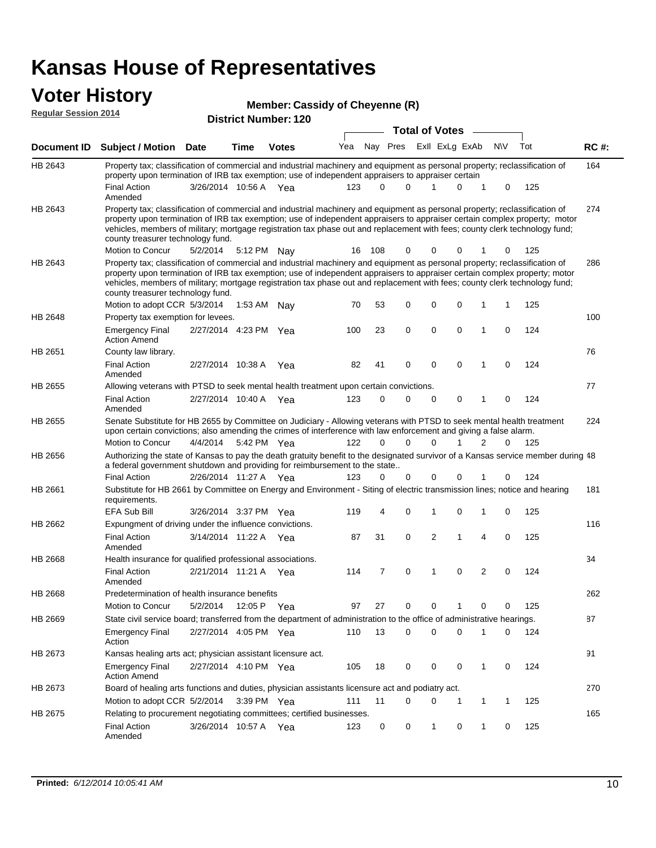#### **Voter History Regular Session 2014**

|  | Member: Cassidy of Cheyenne (R) |  |  |
|--|---------------------------------|--|--|
|--|---------------------------------|--|--|

|                |                                                                                                                                                                                                                                                                                                                                                                                                                               |                       |             | וטאו ויטעווווט <del>כ</del> ו. ובע |     |       | <b>Total of Votes</b> |                |                |             |                |     |     |             |
|----------------|-------------------------------------------------------------------------------------------------------------------------------------------------------------------------------------------------------------------------------------------------------------------------------------------------------------------------------------------------------------------------------------------------------------------------------|-----------------------|-------------|------------------------------------|-----|-------|-----------------------|----------------|----------------|-------------|----------------|-----|-----|-------------|
| Document ID    | <b>Subject / Motion Date</b>                                                                                                                                                                                                                                                                                                                                                                                                  |                       | <b>Time</b> | <b>Votes</b>                       | Yea |       | Nay Pres              |                | Exll ExLg ExAb |             |                | N\V | Tot | <b>RC#:</b> |
| HB 2643        | Property tax; classification of commercial and industrial machinery and equipment as personal property; reclassification of<br>property upon termination of IRB tax exemption; use of independent appraisers to appraiser certain                                                                                                                                                                                             |                       |             |                                    |     |       |                       |                |                |             |                |     |     | 164         |
|                | <b>Final Action</b><br>Amended                                                                                                                                                                                                                                                                                                                                                                                                | 3/26/2014 10:56 A Yea |             |                                    | 123 | 0     | 0                     | 1              |                | 0           | 1              | 0   | 125 |             |
| HB 2643        | Property tax; classification of commercial and industrial machinery and equipment as personal property; reclassification of<br>property upon termination of IRB tax exemption; use of independent appraisers to appraiser certain complex property; motor<br>vehicles, members of military; mortgage registration tax phase out and replacement with fees; county clerk technology fund;<br>county treasurer technology fund. |                       |             |                                    |     |       |                       |                |                |             |                |     |     | 274         |
|                | Motion to Concur                                                                                                                                                                                                                                                                                                                                                                                                              | 5/2/2014              |             | 5:12 PM Nay                        | 16  | - 108 | 0                     | 0              |                | 0           | 1              | 0   | 125 |             |
| HB 2643        | Property tax; classification of commercial and industrial machinery and equipment as personal property; reclassification of<br>property upon termination of IRB tax exemption; use of independent appraisers to appraiser certain complex property; motor<br>vehicles, members of military; mortgage registration tax phase out and replacement with fees; county clerk technology fund;<br>county treasurer technology fund. |                       |             |                                    |     |       |                       |                |                |             |                |     |     | 286         |
|                | Motion to adopt CCR 5/3/2014                                                                                                                                                                                                                                                                                                                                                                                                  |                       | 1:53 AM     | Nay                                | 70  | 53    | 0                     | 0              |                | $\mathbf 0$ | 1              | 1   | 125 |             |
| HB 2648        | Property tax exemption for levees.                                                                                                                                                                                                                                                                                                                                                                                            |                       |             |                                    |     |       |                       |                |                |             |                |     |     | 100         |
|                | <b>Emergency Final</b><br><b>Action Amend</b>                                                                                                                                                                                                                                                                                                                                                                                 | 2/27/2014 4:23 PM Yea |             |                                    | 100 | 23    | 0                     | $\mathbf 0$    |                | $\mathbf 0$ | 1              | 0   | 124 |             |
| HB 2651        | County law library.                                                                                                                                                                                                                                                                                                                                                                                                           |                       |             |                                    |     |       |                       |                |                |             |                |     |     | 76          |
|                | <b>Final Action</b><br>Amended                                                                                                                                                                                                                                                                                                                                                                                                | 2/27/2014 10:38 A     |             | Yea                                | 82  | 41    | 0                     | 0              |                | 0           | 1              | 0   | 124 |             |
| HB 2655        | Allowing veterans with PTSD to seek mental health treatment upon certain convictions.                                                                                                                                                                                                                                                                                                                                         |                       |             |                                    |     |       |                       |                |                |             |                |     |     | 77          |
|                | <b>Final Action</b><br>Amended                                                                                                                                                                                                                                                                                                                                                                                                | 2/27/2014 10:40 A Yea |             |                                    | 123 | 0     | 0                     | $\mathbf 0$    |                | 0           | 1              | 0   | 124 |             |
| HB 2655        | Senate Substitute for HB 2655 by Committee on Judiciary - Allowing veterans with PTSD to seek mental health treatment<br>upon certain convictions; also amending the crimes of interference with law enforcement and giving a false alarm.                                                                                                                                                                                    |                       |             |                                    |     |       |                       |                |                |             |                |     |     | 224         |
|                | Motion to Concur                                                                                                                                                                                                                                                                                                                                                                                                              | 4/4/2014              |             | 5:42 PM Yea                        | 122 | 0     | 0                     | $\Omega$       |                |             | 2              | 0   | 125 |             |
| HB 2656        | Authorizing the state of Kansas to pay the death gratuity benefit to the designated survivor of a Kansas service member during 48<br>a federal government shutdown and providing for reimbursement to the state                                                                                                                                                                                                               |                       |             |                                    |     |       |                       |                |                |             |                |     |     |             |
|                | <b>Final Action</b>                                                                                                                                                                                                                                                                                                                                                                                                           | 2/26/2014 11:27 A Yea |             |                                    | 123 | 0     | 0                     | $\mathbf 0$    |                | 0           | 1              | 0   | 124 |             |
| HB 2661        | Substitute for HB 2661 by Committee on Energy and Environment - Siting of electric transmission lines; notice and hearing<br>requirements.                                                                                                                                                                                                                                                                                    |                       |             |                                    |     | 4     | 0                     |                |                | $\mathbf 0$ |                |     |     | 181         |
|                | EFA Sub Bill                                                                                                                                                                                                                                                                                                                                                                                                                  | 3/26/2014 3:37 PM Yea |             |                                    | 119 |       |                       | 1              |                |             | 1              | 0   | 125 |             |
| HB 2662        | Expungment of driving under the influence convictions.<br><b>Final Action</b><br>Amended                                                                                                                                                                                                                                                                                                                                      | 3/14/2014 11:22 A Yea |             |                                    | 87  | 31    | 0                     | $\overline{2}$ |                | 1           | 4              | 0   | 125 | 116         |
| <b>HB 2668</b> | Health insurance for qualified professional associations.                                                                                                                                                                                                                                                                                                                                                                     |                       |             |                                    |     |       |                       |                |                |             |                |     |     | 34          |
|                | <b>Final Action</b><br>Amended                                                                                                                                                                                                                                                                                                                                                                                                | 2/21/2014 11:21 A Yea |             |                                    | 114 | 7     | 0                     | 1              |                | $\mathbf 0$ | $\overline{2}$ | 0   | 124 |             |
| HB 2668        | Predetermination of health insurance benefits                                                                                                                                                                                                                                                                                                                                                                                 |                       |             |                                    |     |       |                       |                |                |             |                |     |     | 262         |
|                | Motion to Concur                                                                                                                                                                                                                                                                                                                                                                                                              | 5/2/2014              |             | 12:05 P Yea                        | 97  | 27    | 0                     | 0              |                | 1           | 0              | 0   | 125 |             |
| HB 2669        | State civil service board; transferred from the department of administration to the office of administrative hearings.                                                                                                                                                                                                                                                                                                        |                       |             |                                    |     |       |                       |                |                |             |                |     |     | 87          |
|                | <b>Emergency Final</b><br>Action                                                                                                                                                                                                                                                                                                                                                                                              | 2/27/2014 4:05 PM Yea |             |                                    | 110 | 13    | 0                     | $\mathbf 0$    |                | 0           | 1              | 0   | 124 |             |
| HB 2673        | Kansas healing arts act; physician assistant licensure act.                                                                                                                                                                                                                                                                                                                                                                   |                       |             |                                    |     |       |                       |                |                |             |                |     |     | 91          |
|                | <b>Emergency Final</b><br><b>Action Amend</b>                                                                                                                                                                                                                                                                                                                                                                                 | 2/27/2014 4:10 PM Yea |             |                                    | 105 | 18    | 0                     | 0              |                | 0           | 1              | 0   | 124 |             |
| HB 2673        | Board of healing arts functions and duties, physician assistants licensure act and podiatry act.                                                                                                                                                                                                                                                                                                                              |                       |             |                                    |     |       |                       |                |                |             |                |     |     | 270         |
|                | Motion to adopt CCR 5/2/2014 3:39 PM Yea                                                                                                                                                                                                                                                                                                                                                                                      |                       |             |                                    | 111 | 11    | 0                     | 0              |                |             | 1              | 1   | 125 |             |
| HB 2675        | Relating to procurement negotiating committees; certified businesses.                                                                                                                                                                                                                                                                                                                                                         |                       |             |                                    |     |       |                       |                |                |             |                |     |     | 165         |
|                | <b>Final Action</b><br>Amended                                                                                                                                                                                                                                                                                                                                                                                                | 3/26/2014 10:57 A Yea |             |                                    | 123 | 0     | 0                     | 1              |                | 0           | 1              | 0   | 125 |             |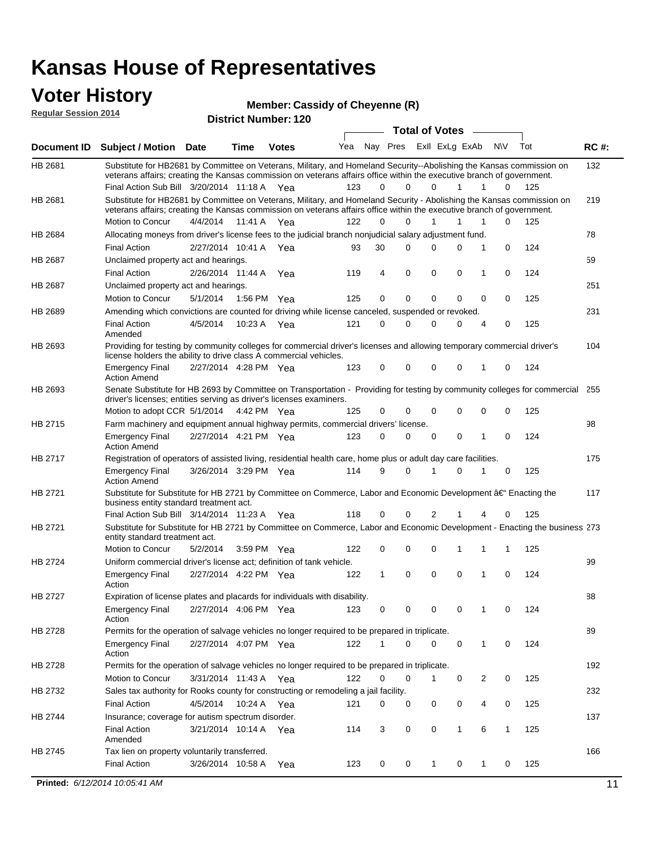### **Voter History**

**Regular Session 2014**

#### **Member: Cassidy of Cheyenne (R)**

|                |                                                                                                                                                                                                                                                 |                       |             |              |     |          |             | <b>Total of Votes</b> |              | $\sim$      |             |     |             |
|----------------|-------------------------------------------------------------------------------------------------------------------------------------------------------------------------------------------------------------------------------------------------|-----------------------|-------------|--------------|-----|----------|-------------|-----------------------|--------------|-------------|-------------|-----|-------------|
|                | Document ID Subject / Motion Date                                                                                                                                                                                                               |                       | Time        | <b>Votes</b> | Yea | Nay Pres |             | Exll ExLg ExAb        |              |             | <b>NV</b>   | Tot | <b>RC#:</b> |
| HB 2681        | Substitute for HB2681 by Committee on Veterans, Military, and Homeland Security--Abolishing the Kansas commission on                                                                                                                            |                       |             |              |     |          |             |                       |              |             |             |     | 132         |
|                | veterans affairs; creating the Kansas commission on veterans affairs office within the executive branch of government.                                                                                                                          |                       |             |              |     | 0        | 0           | $\Omega$              | $\mathbf{1}$ | 1           |             | 125 |             |
|                | Final Action Sub Bill 3/20/2014 11:18 A Yea                                                                                                                                                                                                     |                       |             |              | 123 |          |             |                       |              |             | 0           |     |             |
| HB 2681        | Substitute for HB2681 by Committee on Veterans, Military, and Homeland Security - Abolishing the Kansas commission on<br>veterans affairs; creating the Kansas commission on veterans affairs office within the executive branch of government. |                       |             |              |     |          |             |                       |              |             |             |     | 219         |
|                | Motion to Concur                                                                                                                                                                                                                                | 4/4/2014 11:41 A Yea  |             |              | 122 | 0        | $\Omega$    | 1                     | 1            | 1           | $\Omega$    | 125 |             |
| HB 2684        | Allocating moneys from driver's license fees to the judicial branch nonjudicial salary adjustment fund.                                                                                                                                         |                       |             |              |     |          |             |                       |              |             |             |     | 78          |
|                | <b>Final Action</b>                                                                                                                                                                                                                             | 2/27/2014 10:41 A Yea |             |              | 93  | 30       | $\Omega$    | $\Omega$              | 0            | 1           | $\mathbf 0$ | 124 |             |
| HB 2687        | Unclaimed property act and hearings.                                                                                                                                                                                                            |                       |             |              |     |          |             |                       |              |             |             |     | 59          |
|                | <b>Final Action</b>                                                                                                                                                                                                                             | 2/26/2014 11:44 A     |             | Yea          | 119 | 4        | $\mathbf 0$ | $\mathbf 0$           | 0            | 1           | $\mathbf 0$ | 124 |             |
| <b>HB 2687</b> | Unclaimed property act and hearings.                                                                                                                                                                                                            |                       |             |              |     |          |             |                       |              |             |             |     | 251         |
|                | Motion to Concur                                                                                                                                                                                                                                | 5/1/2014              | 1:56 PM Yea |              | 125 | 0        | 0           | 0                     | 0            | 0           | 0           | 125 |             |
| <b>HB 2689</b> | Amending which convictions are counted for driving while license canceled, suspended or revoked.                                                                                                                                                |                       |             |              |     |          |             |                       |              |             |             |     | 231         |
|                | <b>Final Action</b>                                                                                                                                                                                                                             | 4/5/2014              | 10:23 A Yea |              | 121 | 0        | $\Omega$    | $\Omega$              | 0            | 4           | 0           | 125 |             |
|                | Amended                                                                                                                                                                                                                                         |                       |             |              |     |          |             |                       |              |             |             |     |             |
| HB 2693        | Providing for testing by community colleges for commercial driver's licenses and allowing temporary commercial driver's                                                                                                                         |                       |             |              |     |          |             |                       |              |             |             |     | 104         |
|                | license holders the ability to drive class A commercial vehicles.                                                                                                                                                                               |                       |             |              |     |          |             |                       |              |             |             |     |             |
|                | <b>Emergency Final</b>                                                                                                                                                                                                                          | 2/27/2014 4:28 PM Yea |             |              | 123 | 0        | 0           | 0                     | 0            | 1           | 0           | 124 |             |
| HB 2693        | <b>Action Amend</b><br>Senate Substitute for HB 2693 by Committee on Transportation - Providing for testing by community colleges for commercial 255                                                                                            |                       |             |              |     |          |             |                       |              |             |             |     |             |
|                | driver's licenses; entities serving as driver's licenses examiners.                                                                                                                                                                             |                       |             |              |     |          |             |                       |              |             |             |     |             |
|                | Motion to adopt CCR 5/1/2014 4:42 PM Yea                                                                                                                                                                                                        |                       |             |              | 125 | 0        | 0           | 0                     | 0            | 0           | 0           | 125 |             |
| HB 2715        | Farm machinery and equipment annual highway permits, commercial drivers' license.                                                                                                                                                               |                       |             |              |     |          |             |                       |              |             |             |     | 98          |
|                | <b>Emergency Final</b>                                                                                                                                                                                                                          | 2/27/2014 4:21 PM Yea |             |              | 123 | 0        | $\Omega$    | 0                     | 0            | 1           | $\mathbf 0$ | 124 |             |
|                | <b>Action Amend</b>                                                                                                                                                                                                                             |                       |             |              |     |          |             |                       |              |             |             |     |             |
| HB 2717        | Registration of operators of assisted living, residential health care, home plus or adult day care facilities.                                                                                                                                  |                       |             |              |     |          |             |                       |              |             |             |     | 175         |
|                | <b>Emergency Final</b><br><b>Action Amend</b>                                                                                                                                                                                                   | 3/26/2014 3:29 PM Yea |             |              | 114 | 9        | $\Omega$    | 1                     | 0            | 1           | 0           | 125 |             |
| HB 2721        | Substitute for Substitute for HB 2721 by Committee on Commerce, Labor and Economic Development †Enacting the                                                                                                                                    |                       |             |              |     |          |             |                       |              |             |             |     | 117         |
|                | business entity standard treatment act.                                                                                                                                                                                                         |                       |             |              |     |          |             |                       |              |             |             |     |             |
|                | Final Action Sub Bill 3/14/2014 11:23 A Yea                                                                                                                                                                                                     |                       |             |              | 118 | 0        | 0           | 2                     | 1            | 4           | 0           | 125 |             |
| HB 2721        | Substitute for Substitute for HB 2721 by Committee on Commerce, Labor and Economic Development - Enacting the business 273<br>entity standard treatment act.                                                                                    |                       |             |              |     |          |             |                       |              |             |             |     |             |
|                | Motion to Concur                                                                                                                                                                                                                                | 5/2/2014              |             | 3:59 PM Yea  | 122 | 0        | 0           | 0                     | 1            | 1           | 1           | 125 |             |
| HB 2724        | Uniform commercial driver's license act; definition of tank vehicle.                                                                                                                                                                            |                       |             |              |     |          |             |                       |              |             |             |     | 99          |
|                | <b>Emergency Final</b>                                                                                                                                                                                                                          | 2/27/2014 4:22 PM Yea |             |              | 122 | 1        | 0           | 0                     | $\mathbf 0$  | 1           | $\mathbf 0$ | 124 |             |
| HB 2727        | Action                                                                                                                                                                                                                                          |                       |             |              |     |          |             |                       |              |             |             |     | 88          |
|                | Expiration of license plates and placards for individuals with disability.                                                                                                                                                                      |                       |             |              |     |          |             |                       |              |             |             |     |             |
|                | Emergency Final<br>Action                                                                                                                                                                                                                       | 2/27/2014 4:06 PM Yea |             |              | 123 | 0        | 0           | 0                     | 0            | 1           | 0           | 124 |             |
| HB 2728        | Permits for the operation of salvage vehicles no longer required to be prepared in triplicate.                                                                                                                                                  |                       |             |              |     |          |             |                       |              |             |             |     | 89          |
|                | <b>Emergency Final</b>                                                                                                                                                                                                                          | 2/27/2014 4:07 PM Yea |             |              | 122 | 1        | 0           | 0                     | 0            | 1           | 0           | 124 |             |
|                | Action                                                                                                                                                                                                                                          |                       |             |              |     |          |             |                       |              |             |             |     |             |
| HB 2728        | Permits for the operation of salvage vehicles no longer required to be prepared in triplicate.                                                                                                                                                  |                       |             |              |     |          |             |                       |              |             |             |     | 192         |
|                | Motion to Concur                                                                                                                                                                                                                                | 3/31/2014 11:43 A Yea |             |              | 122 | 0        | 0           | 1                     | 0            | 2           | 0           | 125 |             |
| HB 2732        | Sales tax authority for Rooks county for constructing or remodeling a jail facility.                                                                                                                                                            |                       |             |              |     |          |             |                       |              |             |             |     | 232         |
|                | <b>Final Action</b>                                                                                                                                                                                                                             | 4/5/2014 10:24 A Yea  |             |              | 121 | 0        | 0           | 0                     | 0            | 4           | 0           | 125 |             |
| HB 2744        | Insurance; coverage for autism spectrum disorder.                                                                                                                                                                                               |                       |             |              |     |          |             |                       |              |             |             |     | 137         |
|                | <b>Final Action</b>                                                                                                                                                                                                                             | 3/21/2014 10:14 A Yea |             |              | 114 | 3        | 0           | 0                     | 1            | 6           | 1           | 125 |             |
|                | Amended                                                                                                                                                                                                                                         |                       |             |              |     |          |             |                       |              |             |             |     |             |
| HB 2745        | Tax lien on property voluntarily transferred.                                                                                                                                                                                                   |                       |             |              |     |          |             |                       |              |             |             |     | 166         |
|                | <b>Final Action</b>                                                                                                                                                                                                                             | 3/26/2014 10:58 A     |             | Yea          | 123 | 0        | 0           | $\mathbf 1$           | 0            | $\mathbf 1$ | 0           | 125 |             |
|                | Printed: 6/12/2014 10:05:41 AM                                                                                                                                                                                                                  |                       |             |              |     |          |             |                       |              |             |             |     | 11          |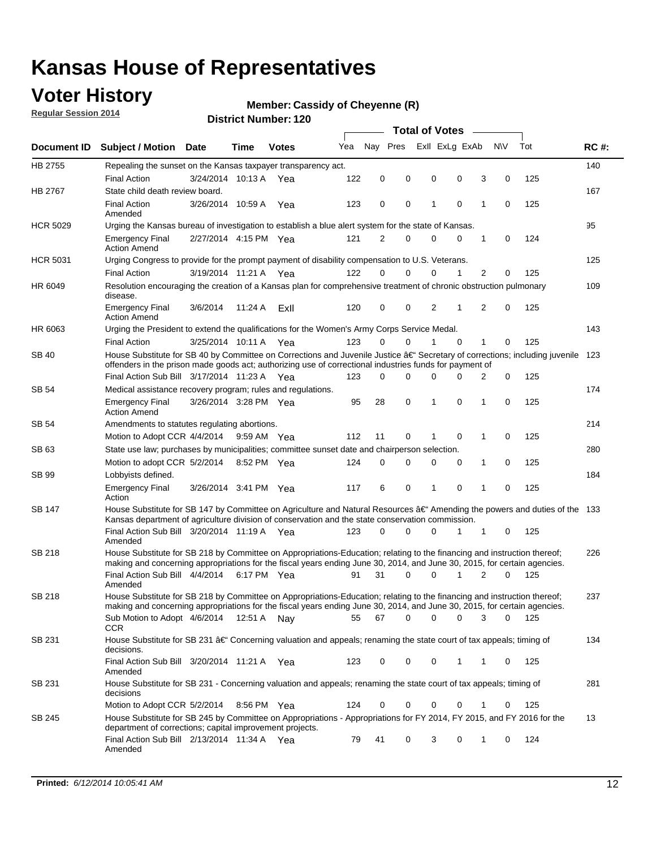### **Voter History**

**Regular Session 2014**

#### **Member: Cassidy of Cheyenne (R)**

|                    |                                                                                                                                                                                                                                      |                       |             |              |     |          |          | <b>Total of Votes</b> |                |                |          |     |             |
|--------------------|--------------------------------------------------------------------------------------------------------------------------------------------------------------------------------------------------------------------------------------|-----------------------|-------------|--------------|-----|----------|----------|-----------------------|----------------|----------------|----------|-----|-------------|
| <b>Document ID</b> | <b>Subject / Motion Date</b>                                                                                                                                                                                                         |                       | Time        | <b>Votes</b> | Yea | Nay Pres |          |                       | Exll ExLg ExAb | N\V            | Tot      |     | <b>RC#:</b> |
| HB 2755            | Repealing the sunset on the Kansas taxpayer transparency act.                                                                                                                                                                        |                       |             |              |     |          |          |                       |                |                |          |     | 140         |
|                    | <b>Final Action</b>                                                                                                                                                                                                                  | 3/24/2014 10:13 A     |             | Yea          | 122 | 0        | 0        | 0                     | 0              | 3              | 0        | 125 |             |
| HB 2767            | State child death review board.                                                                                                                                                                                                      |                       |             |              |     |          |          |                       |                |                |          |     | 167         |
|                    | <b>Final Action</b><br>Amended                                                                                                                                                                                                       | 3/26/2014 10:59 A     |             | Yea          | 123 | 0        | 0        | 1                     | $\mathbf 0$    | 1              | 0        | 125 |             |
| <b>HCR 5029</b>    | Urging the Kansas bureau of investigation to establish a blue alert system for the state of Kansas.                                                                                                                                  |                       |             |              |     |          |          |                       |                |                |          |     | 95          |
|                    | <b>Emergency Final</b><br><b>Action Amend</b>                                                                                                                                                                                        | 2/27/2014 4:15 PM Yea |             |              | 121 | 2        | 0        | 0                     | 0              | 1              | 0        | 124 |             |
| <b>HCR 5031</b>    | Urging Congress to provide for the prompt payment of disability compensation to U.S. Veterans.                                                                                                                                       |                       |             |              |     |          |          |                       |                |                |          |     | 125         |
|                    | <b>Final Action</b>                                                                                                                                                                                                                  | 3/19/2014 11:21 A Yea |             |              | 122 | $\Omega$ | 0        | 0                     | 1              | 2              | 0        | 125 |             |
| HR 6049            | Resolution encouraging the creation of a Kansas plan for comprehensive treatment of chronic obstruction pulmonary<br>disease.                                                                                                        |                       |             |              |     |          |          |                       |                |                |          |     | 109         |
|                    | <b>Emergency Final</b><br><b>Action Amend</b>                                                                                                                                                                                        | 3/6/2014              | 11:24 A     | ExII         | 120 | 0        | 0        | 2                     | 1              | $\overline{2}$ | 0        | 125 |             |
| HR 6063            | Urging the President to extend the qualifications for the Women's Army Corps Service Medal.                                                                                                                                          |                       |             |              |     |          |          |                       |                |                |          |     | 143         |
|                    | <b>Final Action</b>                                                                                                                                                                                                                  | 3/25/2014 10:11 A Yea |             |              | 123 | $\Omega$ | $\Omega$ | 1                     | $\Omega$       | 1              | 0        | 125 |             |
| SB 40              | House Substitute for SB 40 by Committee on Corrections and Juvenile Justice †Secretary of corrections; including juvenile<br>offenders in the prison made goods act; authorizing use of correctional industries funds for payment of |                       |             |              |     |          |          |                       |                |                |          |     | 123         |
|                    | Final Action Sub Bill 3/17/2014 11:23 A Yea                                                                                                                                                                                          |                       |             |              | 123 | 0        | 0        | $\Omega$              | $\Omega$       | 2              | 0        | 125 |             |
| SB 54              | Medical assistance recovery program; rules and regulations.                                                                                                                                                                          |                       |             |              |     |          |          |                       |                |                |          |     | 174         |
|                    | <b>Emergency Final</b><br><b>Action Amend</b>                                                                                                                                                                                        | 3/26/2014 3:28 PM Yea |             |              | 95  | 28       | 0        | 1                     | $\mathbf 0$    | 1              | 0        | 125 |             |
| <b>SB 54</b>       | Amendments to statutes regulating abortions.                                                                                                                                                                                         |                       |             |              |     |          |          |                       |                |                |          |     | 214         |
|                    | Motion to Adopt CCR 4/4/2014                                                                                                                                                                                                         |                       | 9:59 AM Yea |              | 112 | 11       | 0        | 1                     | $\mathbf 0$    | 1              | 0        | 125 |             |
| SB 63              | State use law; purchases by municipalities; committee sunset date and chairperson selection.                                                                                                                                         |                       |             |              |     |          |          |                       |                |                |          |     | 280         |
|                    | Motion to adopt CCR 5/2/2014                                                                                                                                                                                                         |                       | 8:52 PM Yea |              | 124 | 0        | 0        | 0                     | $\mathbf 0$    | 1              | 0        | 125 |             |
| <b>SB 99</b>       | Lobbyists defined.                                                                                                                                                                                                                   |                       |             |              |     |          |          |                       |                |                |          |     | 184         |
|                    | <b>Emergency Final</b><br>Action                                                                                                                                                                                                     | 3/26/2014 3:41 PM Yea |             |              | 117 | 6        | 0        | 1                     | $\mathbf 0$    | 1              | 0        | 125 |             |
| SB 147             | House Substitute for SB 147 by Committee on Agriculture and Natural Resources †Amending the powers and duties of the 133<br>Kansas department of agriculture division of conservation and the state conservation commission.         |                       |             |              |     |          |          |                       |                |                |          |     |             |
|                    | Final Action Sub Bill 3/20/2014 11:19 A Yea<br>Amended                                                                                                                                                                               |                       |             |              | 123 | 0        | 0        | 0                     | 1              | 1              | 0        | 125 |             |
| <b>SB 218</b>      | House Substitute for SB 218 by Committee on Appropriations-Education; relating to the financing and instruction thereof;                                                                                                             |                       |             |              |     |          |          |                       |                |                |          |     | 226         |
|                    | making and concerning appropriations for the fiscal years ending June 30, 2014, and June 30, 2015, for certain agencies.<br>Final Action Sub Bill 4/4/2014                                                                           |                       |             |              | 91  | 31       | $\Omega$ | 0                     | 1              | $\overline{2}$ | $\Omega$ | 125 |             |
|                    | Amended                                                                                                                                                                                                                              |                       | 6:17 PM Yea |              |     |          |          |                       |                |                |          |     |             |
| <b>SB 218</b>      | House Substitute for SB 218 by Committee on Appropriations-Education; relating to the financing and instruction thereof;                                                                                                             |                       |             |              |     |          |          |                       |                |                |          |     | 237         |
|                    | making and concerning appropriations for the fiscal years ending June 30, 2014, and June 30, 2015, for certain agencies.                                                                                                             |                       |             |              |     |          |          |                       |                |                |          |     |             |
|                    | Sub Motion to Adopt 4/6/2014 12:51 A Nay<br><b>CCR</b>                                                                                                                                                                               |                       |             |              | 55  | 67       | 0        | 0                     | 0              | 3              | 0<br>125 |     |             |
| SB 231             | House Substitute for SB 231 †Concerning valuation and appeals; renaming the state court of tax appeals; timing of<br>decisions.                                                                                                      |                       |             |              |     |          |          |                       |                |                |          |     | 134         |
|                    | Final Action Sub Bill 3/20/2014 11:21 A Yea<br>Amended                                                                                                                                                                               |                       |             |              | 123 | 0        | 0        | 0                     | $\mathbf{1}$   | 1              | 0        | 125 |             |
| SB 231             | House Substitute for SB 231 - Concerning valuation and appeals; renaming the state court of tax appeals; timing of<br>decisions                                                                                                      |                       |             |              |     |          |          |                       |                |                |          |     | 281         |
|                    | Motion to Adopt CCR 5/2/2014 8:56 PM Yea                                                                                                                                                                                             |                       |             |              | 124 | 0        | 0        | 0                     | $\mathbf 0$    | 1              | 0        | 125 |             |
| SB 245             | House Substitute for SB 245 by Committee on Appropriations - Appropriations for FY 2014, FY 2015, and FY 2016 for the<br>department of corrections; capital improvement projects.                                                    |                       |             |              |     |          |          |                       |                |                |          |     | 13          |
|                    | Final Action Sub Bill 2/13/2014 11:34 A Yea<br>Amended                                                                                                                                                                               |                       |             |              | 79  | 41       | 0        | 3                     | 0              | 1              | 124<br>0 |     |             |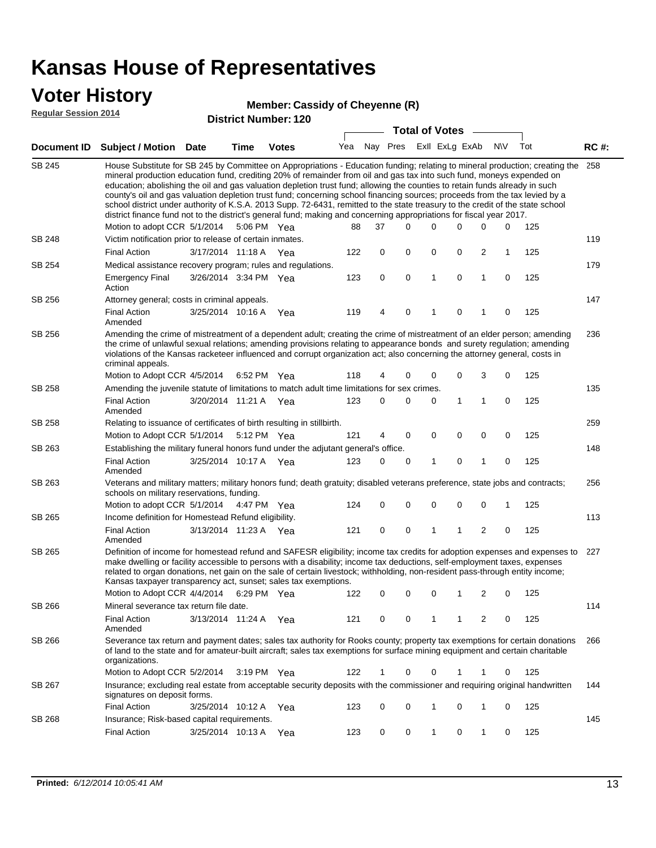### **Voter History**

#### **Member: Cassidy of Cheyenne (R)**

**Regular Session 2014**

|               |                                                                                                                                                                                                                                                                                                                                                                                                                                                                                                                                                                                                                                                                                                                                                                               |                       |      |              |     |     |             |             | <b>Total of Votes</b> |             |                |             |     |             |
|---------------|-------------------------------------------------------------------------------------------------------------------------------------------------------------------------------------------------------------------------------------------------------------------------------------------------------------------------------------------------------------------------------------------------------------------------------------------------------------------------------------------------------------------------------------------------------------------------------------------------------------------------------------------------------------------------------------------------------------------------------------------------------------------------------|-----------------------|------|--------------|-----|-----|-------------|-------------|-----------------------|-------------|----------------|-------------|-----|-------------|
| Document ID   | <b>Subject / Motion Date</b>                                                                                                                                                                                                                                                                                                                                                                                                                                                                                                                                                                                                                                                                                                                                                  |                       | Time | <b>Votes</b> | Yea |     |             | Nay Pres    | Exll ExLg ExAb        |             |                | N\V         | Tot | <b>RC#:</b> |
| <b>SB 245</b> | House Substitute for SB 245 by Committee on Appropriations - Education funding; relating to mineral production; creating the<br>mineral production education fund, crediting 20% of remainder from oil and gas tax into such fund, moneys expended on<br>education; abolishing the oil and gas valuation depletion trust fund; allowing the counties to retain funds already in such<br>county's oil and gas valuation depletion trust fund; concerning school financing sources; proceeds from the tax levied by a<br>school district under authority of K.S.A. 2013 Supp. 72-6431, remitted to the state treasury to the credit of the state school<br>district finance fund not to the district's general fund; making and concerning appropriations for fiscal year 2017. |                       |      |              |     |     |             |             |                       |             |                |             |     | 258         |
|               | Motion to adopt CCR 5/1/2014                                                                                                                                                                                                                                                                                                                                                                                                                                                                                                                                                                                                                                                                                                                                                  |                       |      | 5:06 PM Yea  |     | 88  | 37          | $\Omega$    | 0                     | 0           | 0              | 0           | 125 |             |
| <b>SB 248</b> | Victim notification prior to release of certain inmates.                                                                                                                                                                                                                                                                                                                                                                                                                                                                                                                                                                                                                                                                                                                      |                       |      |              |     |     |             |             |                       |             |                |             |     | 119         |
|               | <b>Final Action</b>                                                                                                                                                                                                                                                                                                                                                                                                                                                                                                                                                                                                                                                                                                                                                           | 3/17/2014 11:18 A Yea |      |              |     | 122 | 0           | 0           | 0                     | 0           | $\overline{c}$ | $\mathbf 1$ | 125 |             |
| SB 254        | Medical assistance recovery program; rules and regulations.                                                                                                                                                                                                                                                                                                                                                                                                                                                                                                                                                                                                                                                                                                                   |                       |      |              |     |     |             |             |                       |             |                |             |     | 179         |
|               | <b>Emergency Final</b><br>Action                                                                                                                                                                                                                                                                                                                                                                                                                                                                                                                                                                                                                                                                                                                                              | 3/26/2014 3:34 PM Yea |      |              |     | 123 | $\mathbf 0$ | 0           | 1                     | 0           | 1              | 0           | 125 |             |
| SB 256        | Attorney general; costs in criminal appeals.                                                                                                                                                                                                                                                                                                                                                                                                                                                                                                                                                                                                                                                                                                                                  |                       |      |              |     |     |             |             |                       |             |                |             |     | 147         |
|               | <b>Final Action</b><br>Amended                                                                                                                                                                                                                                                                                                                                                                                                                                                                                                                                                                                                                                                                                                                                                | 3/25/2014 10:16 A     |      | Yea          |     | 119 | 4           | 0           | 1                     | 0           | 1              | 0           | 125 |             |
| SB 256        | Amending the crime of mistreatment of a dependent adult; creating the crime of mistreatment of an elder person; amending<br>the crime of unlawful sexual relations; amending provisions relating to appearance bonds and surety regulation; amending<br>violations of the Kansas racketeer influenced and corrupt organization act; also concerning the attorney general, costs in<br>criminal appeals.                                                                                                                                                                                                                                                                                                                                                                       |                       |      |              |     |     |             |             |                       |             |                |             |     | 236         |
|               | Motion to Adopt CCR 4/5/2014                                                                                                                                                                                                                                                                                                                                                                                                                                                                                                                                                                                                                                                                                                                                                  |                       |      | 6:52 PM Yea  |     | 118 | 4           | 0           | 0                     | 0           | 3              | 0           | 125 |             |
| SB 258        | Amending the juvenile statute of limitations to match adult time limitations for sex crimes.                                                                                                                                                                                                                                                                                                                                                                                                                                                                                                                                                                                                                                                                                  |                       |      |              |     |     |             |             |                       |             |                |             |     | 135         |
|               | <b>Final Action</b><br>Amended                                                                                                                                                                                                                                                                                                                                                                                                                                                                                                                                                                                                                                                                                                                                                | 3/20/2014 11:21 A Yea |      |              |     | 123 | 0           | $\Omega$    | 0                     | 1           | $\mathbf{1}$   | 0           | 125 |             |
| SB 258        | Relating to issuance of certificates of birth resulting in stillbirth.                                                                                                                                                                                                                                                                                                                                                                                                                                                                                                                                                                                                                                                                                                        |                       |      |              |     |     |             |             |                       |             |                |             |     | 259         |
|               | Motion to Adopt CCR 5/1/2014                                                                                                                                                                                                                                                                                                                                                                                                                                                                                                                                                                                                                                                                                                                                                  |                       |      | 5:12 PM Yea  |     | 121 | 4           | 0           | 0                     | 0           | 0              | 0           | 125 |             |
| SB 263        | Establishing the military funeral honors fund under the adjutant general's office.                                                                                                                                                                                                                                                                                                                                                                                                                                                                                                                                                                                                                                                                                            |                       |      |              |     |     |             |             |                       |             |                |             |     | 148         |
|               | <b>Final Action</b><br>Amended                                                                                                                                                                                                                                                                                                                                                                                                                                                                                                                                                                                                                                                                                                                                                | 3/25/2014 10:17 A Yea |      |              |     | 123 | 0           | 0           | 1                     | 0           | 1              | 0           | 125 |             |
| SB 263        | Veterans and military matters; military honors fund; death gratuity; disabled veterans preference, state jobs and contracts;<br>schools on military reservations, funding.                                                                                                                                                                                                                                                                                                                                                                                                                                                                                                                                                                                                    |                       |      |              |     |     |             |             |                       |             |                |             |     | 256         |
|               | Motion to adopt CCR 5/1/2014                                                                                                                                                                                                                                                                                                                                                                                                                                                                                                                                                                                                                                                                                                                                                  |                       |      | 4:47 PM Yea  |     | 124 | 0           | $\mathbf 0$ | 0                     | $\mathbf 0$ | 0              | 1           | 125 |             |
| SB 265        | Income definition for Homestead Refund eligibility.                                                                                                                                                                                                                                                                                                                                                                                                                                                                                                                                                                                                                                                                                                                           |                       |      |              |     |     |             |             |                       |             |                |             |     | 113         |
|               | <b>Final Action</b><br>Amended                                                                                                                                                                                                                                                                                                                                                                                                                                                                                                                                                                                                                                                                                                                                                | 3/13/2014 11:23 A Yea |      |              |     | 121 | $\mathbf 0$ | 0           | 1                     | 1           | 2              | $\mathbf 0$ | 125 |             |
| SB 265        | Definition of income for homestead refund and SAFESR eligibility; income tax credits for adoption expenses and expenses to<br>make dwelling or facility accessible to persons with a disability; income tax deductions, self-employment taxes, expenses<br>related to organ donations, net gain on the sale of certain livestock; withholding, non-resident pass-through entity income;<br>Kansas taxpayer transparency act, sunset; sales tax exemptions.                                                                                                                                                                                                                                                                                                                    |                       |      |              |     |     |             |             |                       |             |                |             |     | 227         |
|               | Motion to Adopt CCR 4/4/2014 6:29 PM Yea                                                                                                                                                                                                                                                                                                                                                                                                                                                                                                                                                                                                                                                                                                                                      |                       |      |              |     | 122 | 0           | 0           | 0                     | 1           | 2              | 0           | 125 |             |
| <b>SB 266</b> | Mineral severance tax return file date.                                                                                                                                                                                                                                                                                                                                                                                                                                                                                                                                                                                                                                                                                                                                       |                       |      |              |     |     |             |             |                       |             |                |             |     | 114         |
|               | <b>Final Action</b><br>Amended                                                                                                                                                                                                                                                                                                                                                                                                                                                                                                                                                                                                                                                                                                                                                | 3/13/2014 11:24 A Yea |      |              |     | 121 | 0           | 0           |                       |             | 2              | 0           | 125 |             |
| SB 266        | Severance tax return and payment dates; sales tax authority for Rooks county; property tax exemptions for certain donations<br>of land to the state and for amateur-built aircraft; sales tax exemptions for surface mining equipment and certain charitable<br>organizations.                                                                                                                                                                                                                                                                                                                                                                                                                                                                                                |                       |      |              |     |     |             |             |                       |             |                |             |     | 266         |
|               | Motion to Adopt CCR 5/2/2014                                                                                                                                                                                                                                                                                                                                                                                                                                                                                                                                                                                                                                                                                                                                                  |                       |      | 3:19 PM Yea  |     | 122 | $\mathbf 1$ | 0           | 0                     | 1           | 1              | 0           | 125 |             |
| SB 267        | Insurance; excluding real estate from acceptable security deposits with the commissioner and requiring original handwritten<br>signatures on deposit forms.                                                                                                                                                                                                                                                                                                                                                                                                                                                                                                                                                                                                                   |                       |      |              |     |     |             |             |                       |             |                |             |     | 144         |
|               | <b>Final Action</b>                                                                                                                                                                                                                                                                                                                                                                                                                                                                                                                                                                                                                                                                                                                                                           | 3/25/2014 10:12 A Yea |      |              |     | 123 | 0           | 0           | 1                     | 0           | 1              | 0           | 125 |             |
| SB 268        | Insurance; Risk-based capital requirements.                                                                                                                                                                                                                                                                                                                                                                                                                                                                                                                                                                                                                                                                                                                                   |                       |      |              |     |     |             |             |                       |             |                |             |     | 145         |
|               | <b>Final Action</b>                                                                                                                                                                                                                                                                                                                                                                                                                                                                                                                                                                                                                                                                                                                                                           | 3/25/2014 10:13 A     |      | Yea          |     | 123 | 0           | 0           | 1                     | 0           | 1              | 0           | 125 |             |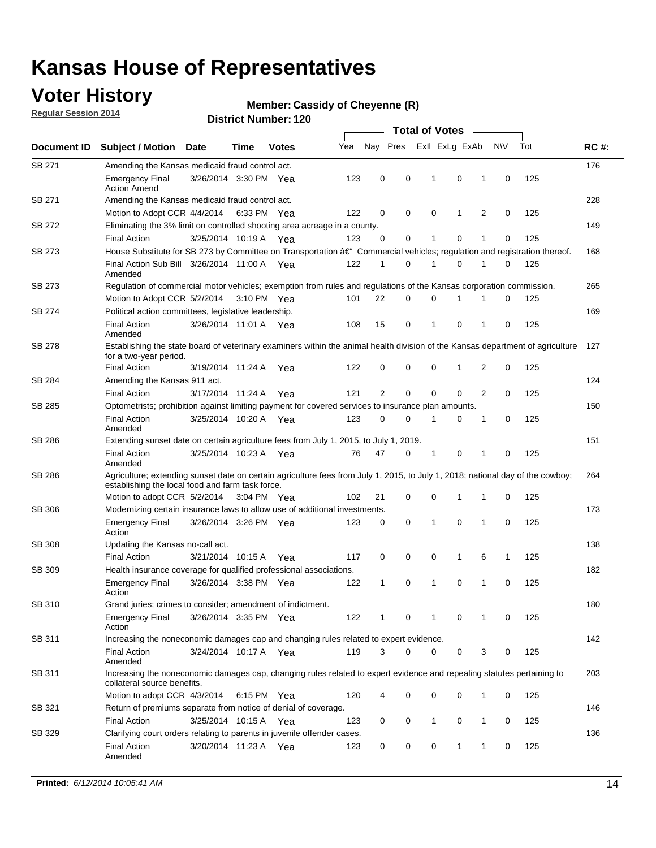### **Voter History**

**Regular Session 2014**

#### **Member: Cassidy of Cheyenne (R)**

|               |                                                                                                                                                                                    |                       |      |              |     |                |             | <b>Total of Votes</b> |              |   |             |     |             |
|---------------|------------------------------------------------------------------------------------------------------------------------------------------------------------------------------------|-----------------------|------|--------------|-----|----------------|-------------|-----------------------|--------------|---|-------------|-----|-------------|
| Document ID   | <b>Subject / Motion Date</b>                                                                                                                                                       |                       | Time | <b>Votes</b> | Yea | Nay Pres       |             | Exll ExLg ExAb        |              |   | N\V         | Tot | <b>RC#:</b> |
| SB 271        | Amending the Kansas medicaid fraud control act.                                                                                                                                    |                       |      |              |     |                |             |                       |              |   |             |     | 176         |
|               | <b>Emergency Final</b><br><b>Action Amend</b>                                                                                                                                      | 3/26/2014 3:30 PM Yea |      |              | 123 | 0              | 0           | 1                     | 0            | 1 | $\mathbf 0$ | 125 |             |
| SB 271        | Amending the Kansas medicaid fraud control act.                                                                                                                                    |                       |      |              |     |                |             |                       |              |   |             |     | 228         |
|               | Motion to Adopt CCR 4/4/2014 6:33 PM Yea                                                                                                                                           |                       |      |              | 122 | 0              | 0           | 0                     | 1            | 2 | 0           | 125 |             |
| SB 272        | Eliminating the 3% limit on controlled shooting area acreage in a county.                                                                                                          |                       |      |              |     |                |             |                       |              |   |             |     | 149         |
|               | <b>Final Action</b>                                                                                                                                                                | 3/25/2014 10:19 A Yea |      |              | 123 | 0              | 0           | 1                     | 0            | 1 | $\mathbf 0$ | 125 |             |
| SB 273        | House Substitute for SB 273 by Committee on Transportation †Commercial vehicles; regulation and registration thereof.                                                              |                       |      |              |     |                |             |                       |              |   |             |     | 168         |
|               | Final Action Sub Bill 3/26/2014 11:00 A Yea<br>Amended                                                                                                                             |                       |      |              | 122 | 1              | 0           | 1                     | 0            | 1 | 0           | 125 |             |
| SB 273        | Regulation of commercial motor vehicles; exemption from rules and regulations of the Kansas corporation commission.                                                                |                       |      |              |     |                |             |                       |              |   |             |     | 265         |
|               | Motion to Adopt CCR 5/2/2014 3:10 PM Yea                                                                                                                                           |                       |      |              | 101 | 22             | 0           | 0                     | 1            | 1 | 0           | 125 |             |
| SB 274        | Political action committees, legislative leadership.                                                                                                                               |                       |      |              |     |                |             |                       |              |   |             |     | 169         |
|               | <b>Final Action</b><br>Amended                                                                                                                                                     | 3/26/2014 11:01 A Yea |      |              | 108 | 15             | 0           | -1                    | 0            | 1 | 0           | 125 |             |
| <b>SB 278</b> | Establishing the state board of veterinary examiners within the animal health division of the Kansas department of agriculture<br>for a two-year period.                           |                       |      |              |     |                |             |                       |              |   |             |     | 127         |
|               | <b>Final Action</b>                                                                                                                                                                | 3/19/2014 11:24 A     |      | Yea          | 122 | 0              | 0           | 0                     | 1            | 2 | 0           | 125 |             |
| SB 284        | Amending the Kansas 911 act.                                                                                                                                                       |                       |      |              |     |                |             |                       |              |   |             |     | 124         |
|               | <b>Final Action</b>                                                                                                                                                                | 3/17/2014 11:24 A     |      | Yea          | 121 | $\overline{2}$ | $\mathbf 0$ | $\mathbf 0$           | $\mathbf 0$  | 2 | 0           | 125 |             |
| SB 285        | Optometrists; prohibition against limiting payment for covered services to insurance plan amounts.                                                                                 |                       |      |              |     |                |             |                       |              |   |             |     | 150         |
|               | <b>Final Action</b><br>Amended                                                                                                                                                     | 3/25/2014 10:20 A     |      | Yea          | 123 | 0              | 0           | $\mathbf{1}$          | 0            | 1 | 0           | 125 |             |
| SB 286        | Extending sunset date on certain agriculture fees from July 1, 2015, to July 1, 2019.                                                                                              |                       |      |              |     |                |             |                       |              |   |             |     | 151         |
|               | <b>Final Action</b><br>Amended                                                                                                                                                     | 3/25/2014 10:23 A Yea |      |              | 76  | 47             | 0           | $\mathbf{1}$          | 0            | 1 | 0           | 125 |             |
| SB 286        | Agriculture; extending sunset date on certain agriculture fees from July 1, 2015, to July 1, 2018; national day of the cowboy;<br>establishing the local food and farm task force. |                       |      |              |     |                |             |                       |              |   |             |     | 264         |
|               | Motion to adopt CCR 5/2/2014 3:04 PM Yea                                                                                                                                           |                       |      |              | 102 | 21             | 0           | 0                     | 1            | 1 | 0           | 125 |             |
| SB 306        | Modernizing certain insurance laws to allow use of additional investments.                                                                                                         |                       |      |              |     |                |             |                       |              |   |             |     | 173         |
|               | <b>Emergency Final</b><br>Action                                                                                                                                                   | 3/26/2014 3:26 PM Yea |      |              | 123 | 0              | 0           | 1                     | $\mathbf 0$  | 1 | 0           | 125 |             |
| <b>SB 308</b> | Updating the Kansas no-call act.                                                                                                                                                   |                       |      |              |     |                |             |                       |              |   |             |     | 138         |
|               | <b>Final Action</b>                                                                                                                                                                | 3/21/2014 10:15 A     |      | Yea          | 117 | 0              | 0           | 0                     | $\mathbf{1}$ | 6 | 1           | 125 |             |
| SB 309        | Health insurance coverage for qualified professional associations.                                                                                                                 |                       |      |              |     |                |             |                       |              |   |             |     | 182         |
|               | <b>Emergency Final</b><br>Action                                                                                                                                                   | 3/26/2014 3:38 PM Yea |      |              | 122 | 1              | 0           | 1                     | 0            | 1 | 0           | 125 |             |
| SB 310        | Grand juries; crimes to consider; amendment of indictment.                                                                                                                         |                       |      |              |     |                |             |                       |              |   |             |     | 180         |
|               | <b>Emergency Final</b><br>Action                                                                                                                                                   | 3/26/2014 3:35 PM Yea |      |              | 122 | 1              | 0           | 1                     | 0            | 1 | 0           | 125 |             |
| SB 311        | Increasing the noneconomic damages cap and changing rules related to expert evidence.                                                                                              |                       |      |              |     |                |             |                       |              |   |             |     | 142         |
|               | <b>Final Action</b><br>Amended                                                                                                                                                     | 3/24/2014 10:17 A Yea |      |              | 119 | 3              | $\Omega$    | 0                     | 0            | 3 | 0           | 125 |             |
| SB 311        | Increasing the noneconomic damages cap, changing rules related to expert evidence and repealing statutes pertaining to<br>collateral source benefits.                              |                       |      |              |     |                |             |                       |              |   |             |     | 203         |
|               | Motion to adopt CCR 4/3/2014 6:15 PM Yea                                                                                                                                           |                       |      |              | 120 | 4              | 0           | 0                     | 0            | 1 | 0           | 125 |             |
| SB 321        | Return of premiums separate from notice of denial of coverage.                                                                                                                     |                       |      |              |     |                |             |                       |              |   |             |     | 146         |
|               | <b>Final Action</b>                                                                                                                                                                | 3/25/2014 10:15 A Yea |      |              | 123 | 0              | 0           | 1                     | 0            | 1 | 0           | 125 |             |
| SB 329        | Clarifying court orders relating to parents in juvenile offender cases.<br><b>Final Action</b><br>Amended                                                                          | 3/20/2014 11:23 A Yea |      |              | 123 | 0              | 0           | 0                     | 1            | 1 | 0           | 125 | 136         |
|               |                                                                                                                                                                                    |                       |      |              |     |                |             |                       |              |   |             |     |             |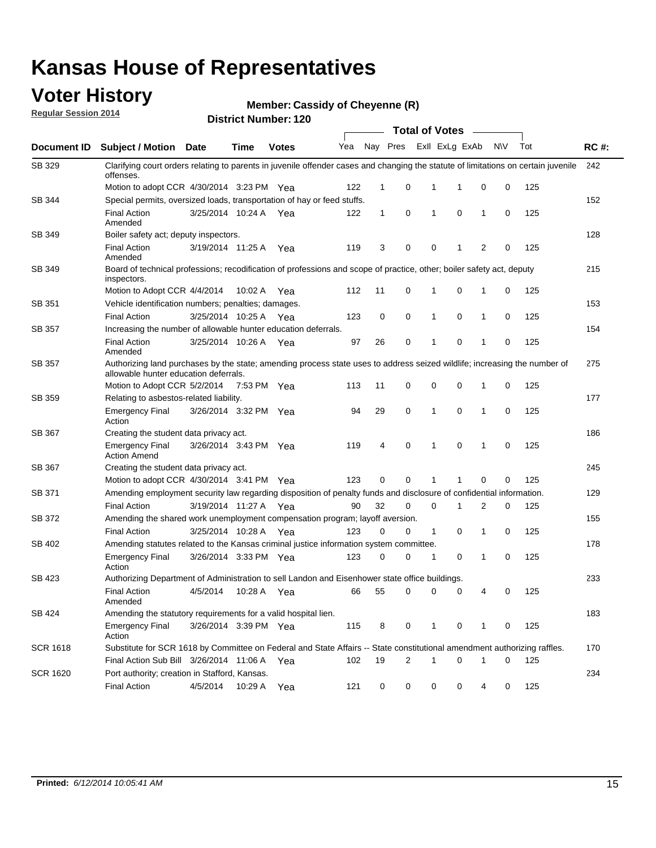### **Voter History**

**Regular Session 2014**

#### **Member: Cassidy of Cheyenne (R)**

|                 |                                                                                                                                                                    |                       |             |              |     |              |             |              | <b>Total of Votes</b> |   |     |     |             |
|-----------------|--------------------------------------------------------------------------------------------------------------------------------------------------------------------|-----------------------|-------------|--------------|-----|--------------|-------------|--------------|-----------------------|---|-----|-----|-------------|
| Document ID     | <b>Subject / Motion Date</b>                                                                                                                                       |                       | <b>Time</b> | <b>Votes</b> | Yea | Nay Pres     |             |              | Exll ExLg ExAb        |   | N\V | Tot | <b>RC#:</b> |
| SB 329          | Clarifying court orders relating to parents in juvenile offender cases and changing the statute of limitations on certain juvenile<br>offenses.                    |                       |             |              |     |              |             |              |                       |   |     |     | 242         |
|                 | Motion to adopt CCR 4/30/2014 3:23 PM Yea                                                                                                                          |                       |             |              | 122 | 1            | 0           | 1            | 1                     | 0 | 0   | 125 |             |
| <b>SB 344</b>   | Special permits, oversized loads, transportation of hay or feed stuffs.                                                                                            |                       |             |              |     |              |             |              |                       |   |     |     | 152         |
|                 | <b>Final Action</b><br>Amended                                                                                                                                     | 3/25/2014 10:24 A     |             | Yea          | 122 | $\mathbf{1}$ | 0           | 1            | $\mathbf 0$           | 1 | 0   | 125 |             |
| SB 349          | Boiler safety act; deputy inspectors.                                                                                                                              |                       |             |              |     |              |             |              |                       |   |     |     | 128         |
|                 | <b>Final Action</b><br>Amended                                                                                                                                     | 3/19/2014 11:25 A     |             | Yea          | 119 | 3            | 0           | $\mathbf 0$  | 1                     | 2 | 0   | 125 |             |
| SB 349          | Board of technical professions; recodification of professions and scope of practice, other; boiler safety act, deputy<br>inspectors.                               |                       |             |              |     |              |             |              |                       |   |     |     | 215         |
|                 | Motion to Adopt CCR 4/4/2014                                                                                                                                       |                       | 10:02 A     | Yea          | 112 | 11           | $\mathbf 0$ | 1            | 0                     | 1 | 0   | 125 |             |
| SB 351          | Vehicle identification numbers; penalties; damages.                                                                                                                |                       |             |              |     |              |             |              |                       |   |     |     | 153         |
|                 | <b>Final Action</b>                                                                                                                                                | 3/25/2014 10:25 A     |             | Yea          | 123 | 0            | 0           | 1            | $\mathbf 0$           | 1 | 0   | 125 |             |
| SB 357          | Increasing the number of allowable hunter education deferrals.                                                                                                     |                       |             |              |     |              |             |              |                       |   |     |     | 154         |
|                 | <b>Final Action</b><br>Amended                                                                                                                                     | 3/25/2014 10:26 A     |             | Yea          | 97  | 26           | 0           | 1            | $\mathbf 0$           | 1 | 0   | 125 |             |
| <b>SB 357</b>   | Authorizing land purchases by the state; amending process state uses to address seized wildlife; increasing the number of<br>allowable hunter education deferrals. |                       |             |              |     |              |             |              |                       |   |     |     | 275         |
|                 | Motion to Adopt CCR 5/2/2014                                                                                                                                       |                       | 7:53 PM Yea |              | 113 | 11           | 0           | 0            | $\mathbf 0$           | 1 | 0   | 125 |             |
| SB 359          | Relating to asbestos-related liability.                                                                                                                            |                       |             |              |     |              |             |              |                       |   |     |     | 177         |
|                 | <b>Emergency Final</b><br>Action                                                                                                                                   | 3/26/2014 3:32 PM Yea |             |              | 94  | 29           | $\mathbf 0$ | 1            | $\mathbf 0$           | 1 | 0   | 125 |             |
| SB 367          | Creating the student data privacy act.                                                                                                                             |                       |             |              |     |              |             |              |                       |   |     |     | 186         |
|                 | <b>Emergency Final</b><br><b>Action Amend</b>                                                                                                                      | 3/26/2014 3:43 PM Yea |             |              | 119 | 4            | $\mathbf 0$ | 1            | 0                     | 1 | 0   | 125 |             |
| SB 367          | Creating the student data privacy act.                                                                                                                             |                       |             |              |     |              |             |              |                       |   |     |     | 245         |
|                 | Motion to adopt CCR 4/30/2014 3:41 PM Yea                                                                                                                          |                       |             |              | 123 | $\Omega$     | $\Omega$    | 1            | 1                     | 0 | 0   | 125 |             |
| SB 371          | Amending employment security law regarding disposition of penalty funds and disclosure of confidential information.                                                |                       |             |              |     |              |             |              |                       |   |     |     | 129         |
|                 | <b>Final Action</b>                                                                                                                                                | 3/19/2014 11:27 A     |             | Yea          | 90  | 32           | $\mathbf 0$ | 0            | 1                     | 2 | 0   | 125 |             |
| SB 372          | Amending the shared work unemployment compensation program; layoff aversion.                                                                                       |                       |             |              |     |              |             |              |                       |   |     |     | 155         |
|                 | <b>Final Action</b>                                                                                                                                                | 3/25/2014 10:28 A     |             | Yea          | 123 | 0            | 0           | 1            | 0                     | 1 | 0   | 125 |             |
| SB 402          | Amending statutes related to the Kansas criminal justice information system committee.                                                                             |                       |             |              |     |              |             |              |                       |   |     |     | 178         |
|                 | <b>Emergency Final</b><br>Action                                                                                                                                   | 3/26/2014 3:33 PM Yea |             |              | 123 | 0            | 0           | 1            | 0                     | 1 | 0   | 125 |             |
| SB 423          | Authorizing Department of Administration to sell Landon and Eisenhower state office buildings.                                                                     |                       |             |              |     |              |             |              |                       |   |     |     | 233         |
|                 | <b>Final Action</b><br>Amended                                                                                                                                     | 4/5/2014              | 10:28 A Yea |              | 66  | 55           | 0           | 0            | 0                     | 4 | 0   | 125 |             |
| SB 424          | Amending the statutory requirements for a valid hospital lien.                                                                                                     |                       |             |              |     |              |             |              |                       |   |     |     | 183         |
|                 | <b>Emergency Final</b><br>Action                                                                                                                                   | 3/26/2014 3:39 PM Yea |             |              | 115 | 8            | 0           | $\mathbf{1}$ | 0                     | 1 | 0   | 125 |             |
| <b>SCR 1618</b> | Substitute for SCR 1618 by Committee on Federal and State Affairs -- State constitutional amendment authorizing raffles.                                           |                       |             |              |     |              |             |              |                       |   |     |     | 170         |
|                 | Final Action Sub Bill 3/26/2014 11:06 A Yea                                                                                                                        |                       |             |              | 102 | 19           | 2           | $\mathbf{1}$ | 0                     | 1 | 0   | 125 |             |
| <b>SCR 1620</b> | Port authority; creation in Stafford, Kansas.                                                                                                                      |                       |             |              |     |              |             |              |                       |   |     |     | 234         |
|                 | <b>Final Action</b>                                                                                                                                                | 4/5/2014              | 10:29 A     | Yea          | 121 | 0            | 0           | 0            | 0                     | 4 | 0   | 125 |             |